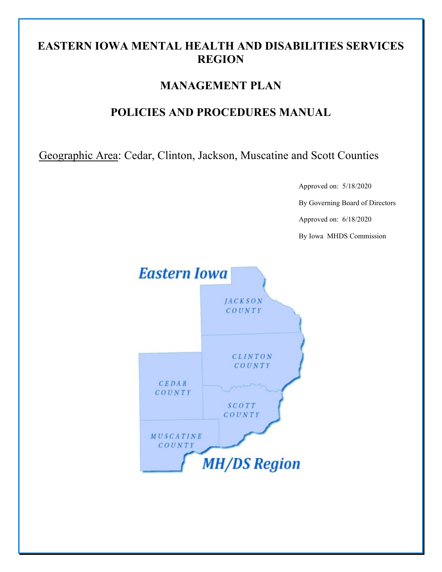## **EASTERN IOWA MENTAL HEALTH AND DISABILITIES SERVICES REGION**

## **MANAGEMENT PLAN**

## **POLICIES AND PROCEDURES MANUAL**

Geographic Area: Cedar, Clinton, Jackson, Muscatine and Scott Counties

Approved on: 5/18/2020

By Governing Board of Directors

Approved on: 6/18/2020

By Iowa MHDS Commission

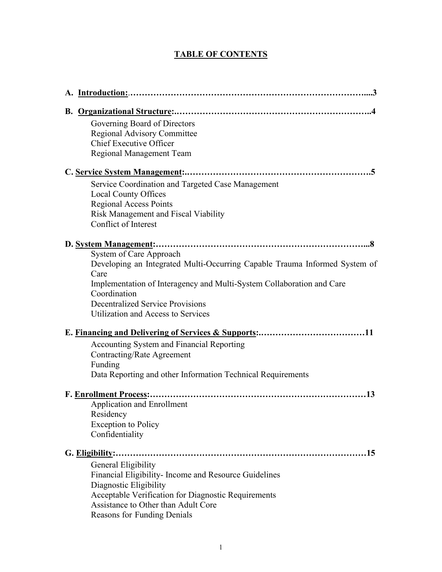## **TABLE OF CONTENTS**

| Governing Board of Directors                                                          |
|---------------------------------------------------------------------------------------|
| Regional Advisory Committee                                                           |
| <b>Chief Executive Officer</b>                                                        |
| Regional Management Team                                                              |
|                                                                                       |
| Service Coordination and Targeted Case Management                                     |
| <b>Local County Offices</b>                                                           |
| <b>Regional Access Points</b>                                                         |
| Risk Management and Fiscal Viability                                                  |
| Conflict of Interest                                                                  |
|                                                                                       |
| System of Care Approach                                                               |
| Developing an Integrated Multi-Occurring Capable Trauma Informed System of<br>Care    |
| Implementation of Interagency and Multi-System Collaboration and Care<br>Coordination |
| <b>Decentralized Service Provisions</b>                                               |
| <b>Utilization and Access to Services</b>                                             |
|                                                                                       |
| Accounting System and Financial Reporting                                             |
| Contracting/Rate Agreement                                                            |
| Funding                                                                               |
| Data Reporting and other Information Technical Requirements                           |
| F. Enrollment Process:                                                                |
| <b>Application and Enrollment</b>                                                     |
| Residency                                                                             |
| <b>Exception to Policy</b>                                                            |
| Confidentiality                                                                       |
|                                                                                       |
| General Eligibility                                                                   |
| Financial Eligibility-Income and Resource Guidelines                                  |
| Diagnostic Eligibility                                                                |
| Acceptable Verification for Diagnostic Requirements                                   |
| Assistance to Other than Adult Core                                                   |
| Reasons for Funding Denials                                                           |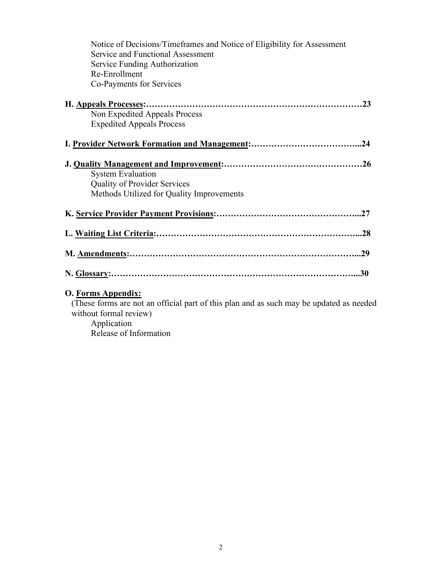| Notice of Decisions/Timeframes and Notice of Eligibility for Assessment                                           |
|-------------------------------------------------------------------------------------------------------------------|
| Service and Functional Assessment                                                                                 |
| Service Funding Authorization                                                                                     |
| Re-Enrollment                                                                                                     |
| Co-Payments for Services                                                                                          |
|                                                                                                                   |
| Non Expedited Appeals Process                                                                                     |
| <b>Expedited Appeals Process</b>                                                                                  |
|                                                                                                                   |
|                                                                                                                   |
| <b>System Evaluation</b>                                                                                          |
| <b>Quality of Provider Services</b>                                                                               |
| Methods Utilized for Quality Improvements                                                                         |
|                                                                                                                   |
|                                                                                                                   |
|                                                                                                                   |
|                                                                                                                   |
| O. Forms Appendix:                                                                                                |
| (These forms are not an official part of this plan and as such may be updated as needed<br>without formal review) |
| Application                                                                                                       |

Release of Information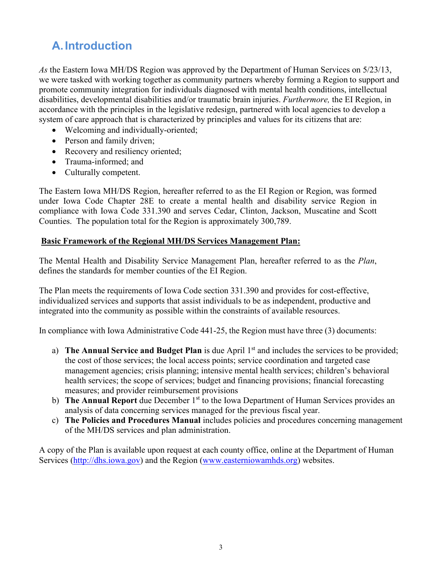# **A.Introduction**

*As* the Eastern Iowa MH/DS Region was approved by the Department of Human Services on 5/23/13, we were tasked with working together as community partners whereby forming a Region to support and promote community integration for individuals diagnosed with mental health conditions, intellectual disabilities, developmental disabilities and/or traumatic brain injuries. *Furthermore,* the EI Region, in accordance with the principles in the legislative redesign, partnered with local agencies to develop a system of care approach that is characterized by principles and values for its citizens that are:

- Welcoming and individually-oriented;
- Person and family driven;
- Recovery and resiliency oriented;
- Trauma-informed; and
- Culturally competent.

The Eastern Iowa MH/DS Region, hereafter referred to as the EI Region or Region, was formed under Iowa Code Chapter 28E to create a mental health and disability service Region in compliance with Iowa Code 331.390 and serves Cedar, Clinton, Jackson, Muscatine and Scott Counties. The population total for the Region is approximately 300,789.

#### **Basic Framework of the Regional MH/DS Services Management Plan:**

The Mental Health and Disability Service Management Plan, hereafter referred to as the *Plan*, defines the standards for member counties of the EI Region.

The Plan meets the requirements of Iowa Code section 331.390 and provides for cost-effective, individualized services and supports that assist individuals to be as independent, productive and integrated into the community as possible within the constraints of available resources.

In compliance with Iowa Administrative Code 441-25, the Region must have three (3) documents:

- a) **The Annual Service and Budget Plan** is due April 1<sup>st</sup> and includes the services to be provided; the cost of those services; the local access points; service coordination and targeted case management agencies; crisis planning; intensive mental health services; children's behavioral health services; the scope of services; budget and financing provisions; financial forecasting measures; and provider reimbursement provisions
- b) **The Annual Report** due December 1<sup>st</sup> to the Iowa Department of Human Services provides an analysis of data concerning services managed for the previous fiscal year.
- c) **The Policies and Procedures Manual** includes policies and procedures concerning management of the MH/DS services and plan administration.

A copy of the Plan is available upon request at each county office, online at the Department of Human Services [\(http://dhs.iowa.gov\)](http://dhs.iowa.gov/) and the Region [\(www.easterniowamhds.org\)](http://www.easterniowamhds.org/) websites.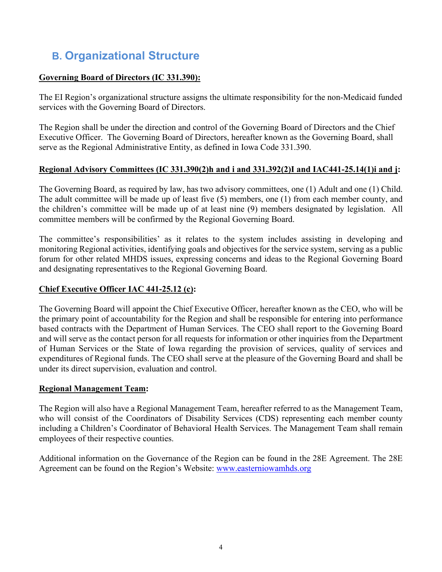# **B. Organizational Structure**

## **Governing Board of Directors (IC 331.390):**

The EI Region's organizational structure assigns the ultimate responsibility for the non-Medicaid funded services with the Governing Board of Directors.

The Region shall be under the direction and control of the Governing Board of Directors and the Chief Executive Officer. The Governing Board of Directors, hereafter known as the Governing Board, shall serve as the Regional Administrative Entity, as defined in Iowa Code 331.390.

## **Regional Advisory Committees (IC 331.390(2)h and i and 331.392(2)I and IAC441-25.14(1)i and j:**

The Governing Board, as required by law, has two advisory committees, one (1) Adult and one (1) Child. The adult committee will be made up of least five (5) members, one (1) from each member county, and the children's committee will be made up of at least nine (9) members designated by legislation. All committee members will be confirmed by the Regional Governing Board.

The committee's responsibilities' as it relates to the system includes assisting in developing and monitoring Regional activities, identifying goals and objectives for the service system, serving as a public forum for other related MHDS issues, expressing concerns and ideas to the Regional Governing Board and designating representatives to the Regional Governing Board.

## **Chief Executive Officer IAC 441-25.12 (c):**

The Governing Board will appoint the Chief Executive Officer, hereafter known as the CEO, who will be the primary point of accountability for the Region and shall be responsible for entering into performance based contracts with the Department of Human Services. The CEO shall report to the Governing Board and will serve as the contact person for all requests for information or other inquiries from the Department of Human Services or the State of Iowa regarding the provision of services, quality of services and expenditures of Regional funds. The CEO shall serve at the pleasure of the Governing Board and shall be under its direct supervision, evaluation and control.

#### **Regional Management Team:**

The Region will also have a Regional Management Team, hereafter referred to as the Management Team, who will consist of the Coordinators of Disability Services (CDS) representing each member county including a Children's Coordinator of Behavioral Health Services. The Management Team shall remain employees of their respective counties.

Additional information on the Governance of the Region can be found in the 28E Agreement. The 28E Agreement can be found on the Region's Website: [www.easterniowamhds.org](http://www.easterniowamhds.org/)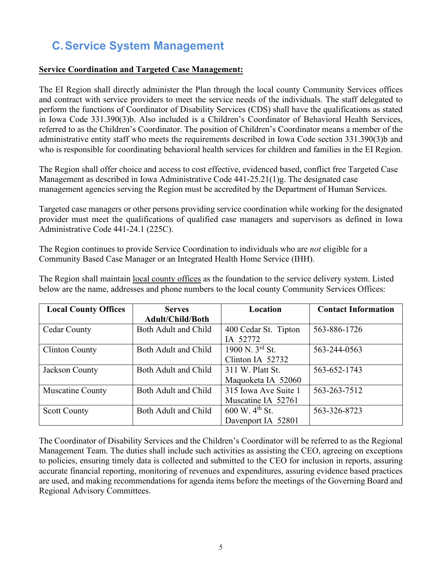# **C.Service System Management**

#### **Service Coordination and Targeted Case Management:**

The EI Region shall directly administer the Plan through the local county Community Services offices and contract with service providers to meet the service needs of the individuals. The staff delegated to perform the functions of Coordinator of Disability Services (CDS) shall have the qualifications as stated in Iowa Code 331.390(3)b. Also included is a Children's Coordinator of Behavioral Health Services, referred to as the Children's Coordinator. The position of Children's Coordinator means a member of the administrative entity staff who meets the requirements described in Iowa Code section 331.390(3)b and who is responsible for coordinating behavioral health services for children and families in the EI Region.

The Region shall offer choice and access to cost effective, evidenced based, conflict free Targeted Case Management as described in Iowa Administrative Code 441-25.21(1)g. The designated case management agencies serving the Region must be accredited by the Department of Human Services.

Targeted case managers or other persons providing service coordination while working for the designated provider must meet the qualifications of qualified case managers and supervisors as defined in Iowa Administrative Code 441-24.1 (225C).

The Region continues to provide Service Coordination to individuals who are *not* eligible for a Community Based Case Manager or an Integrated Health Home Service (IHH).

| <b>Local County Offices</b><br><b>Serves</b> |                         | Location                                                 | <b>Contact Information</b> |  |
|----------------------------------------------|-------------------------|----------------------------------------------------------|----------------------------|--|
|                                              | <b>Adult/Child/Both</b> |                                                          |                            |  |
| <b>Cedar County</b>                          | Both Adult and Child    | 400 Cedar St. Tipton                                     | 563-886-1726               |  |
|                                              |                         | IA 52772                                                 |                            |  |
| <b>Clinton County</b>                        | Both Adult and Child    | 1900 N. $3^{rd}$ St.<br>563-244-0563                     |                            |  |
|                                              |                         | Clinton IA 52732                                         |                            |  |
| Both Adult and Child<br>Jackson County       |                         | 311 W. Platt St.                                         | 563-652-1743               |  |
|                                              |                         | Maquoketa IA 52060                                       |                            |  |
| Muscatine County                             | Both Adult and Child    | 315 Iowa Ave Suite 1                                     | 563-263-7512               |  |
|                                              |                         | Muscatine IA 52761                                       |                            |  |
| <b>Scott County</b>                          | Both Adult and Child    | $600 \,\mathrm{W}$ . 4 <sup>th</sup> St.<br>563-326-8723 |                            |  |
|                                              |                         | Davenport IA 52801                                       |                            |  |

The Region shall maintain local county offices as the foundation to the service delivery system. Listed below are the name, addresses and phone numbers to the local county Community Services Offices:

The Coordinator of Disability Services and the Children's Coordinator will be referred to as the Regional Management Team. The duties shall include such activities as assisting the CEO, agreeing on exceptions to policies, ensuring timely data is collected and submitted to the CEO for inclusion in reports, assuring accurate financial reporting, monitoring of revenues and expenditures, assuring evidence based practices are used, and making recommendations for agenda items before the meetings of the Governing Board and Regional Advisory Committees.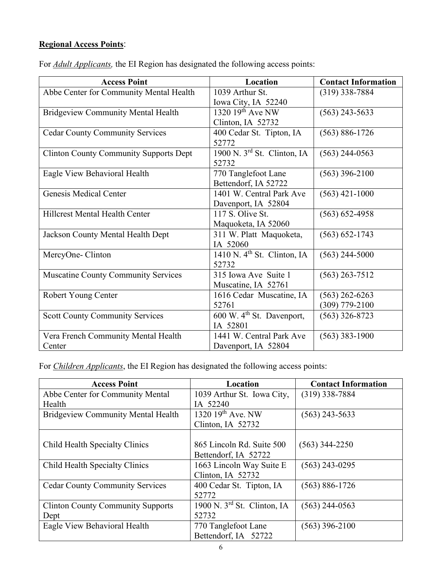## **Regional Access Points**:

| <b>Access Point</b>                           | Location                              | <b>Contact Information</b> |
|-----------------------------------------------|---------------------------------------|----------------------------|
| Abbe Center for Community Mental Health       | 1039 Arthur St.                       | $(319)$ 338-7884           |
|                                               | Iowa City, IA 52240                   |                            |
| <b>Bridgeview Community Mental Health</b>     | 1320 $19th$ Ave NW                    | $(563)$ 243-5633           |
|                                               | Clinton, IA 52732                     |                            |
| <b>Cedar County Community Services</b>        | 400 Cedar St. Tipton, IA<br>52772     | $(563) 886 - 1726$         |
| <b>Clinton County Community Supports Dept</b> | 1900 N. $3^{rd}$ St. Clinton, IA      | $(563)$ 244-0563           |
|                                               | 52732                                 |                            |
| Eagle View Behavioral Health                  | 770 Tanglefoot Lane                   | $(563)$ 396-2100           |
|                                               | Bettendorf, IA 52722                  |                            |
| Genesis Medical Center                        | 1401 W. Central Park Ave              | $(563)$ 421-1000           |
|                                               | Davenport, IA 52804                   |                            |
| Hillcrest Mental Health Center                | 117 S. Olive St.                      | $(563) 652 - 4958$         |
|                                               | Maquoketa, IA 52060                   |                            |
| Jackson County Mental Health Dept             | 311 W. Platt Maquoketa,               | $(563) 652 - 1743$         |
|                                               | IA 52060                              |                            |
| MercyOne-Clinton                              | 1410 N. $4th$ St. Clinton, IA         | $(563)$ 244-5000           |
|                                               | 52732                                 |                            |
| <b>Muscatine County Community Services</b>    | 315 Iowa Ave Suite 1                  | $(563)$ 263-7512           |
|                                               | Muscatine, IA 52761                   |                            |
| Robert Young Center                           | 1616 Cedar Muscatine, IA              | $(563)$ 262-6263           |
|                                               | 52761                                 | $(309)$ 779-2100           |
| <b>Scott County Community Services</b>        | 600 W. 4 <sup>th</sup> St. Davenport, | $(563)$ 326-8723           |
|                                               | IA 52801                              |                            |
| Vera French Community Mental Health           | 1441 W. Central Park Ave              | $(563)$ 383-1900           |
| Center                                        | Davenport, IA 52804                   |                            |

For *Adult Applicants,* the EI Region has designated the following access points:

For *Children Applicants*, the EI Region has designated the following access points:

| <b>Access Point</b>                       | Location                      | <b>Contact Information</b> |
|-------------------------------------------|-------------------------------|----------------------------|
| Abbe Center for Community Mental          | 1039 Arthur St. Iowa City,    | $(319)$ 338-7884           |
| Health                                    | IA 52240                      |                            |
| <b>Bridgeview Community Mental Health</b> | 1320 $19^{th}$ Ave. NW        | $(563)$ 243-5633           |
|                                           | Clinton, IA 52732             |                            |
|                                           |                               |                            |
| Child Health Specialty Clinics            | 865 Lincoln Rd. Suite 500     | $(563)$ 344-2250           |
|                                           | Bettendorf, IA 52722          |                            |
| Child Health Specialty Clinics            | 1663 Lincoln Way Suite E      | $(563)$ 243-0295           |
|                                           | Clinton, IA 52732             |                            |
| <b>Cedar County Community Services</b>    | 400 Cedar St. Tipton, IA      | $(563) 886 - 1726$         |
|                                           | 52772                         |                            |
| <b>Clinton County Community Supports</b>  | 1900 N. $3rd$ St. Clinton, IA | $(563)$ 244-0563           |
| Dept                                      | 52732                         |                            |
| Eagle View Behavioral Health              | 770 Tanglefoot Lane           | $(563)$ 396-2100           |
|                                           | Bettendorf, IA 52722          |                            |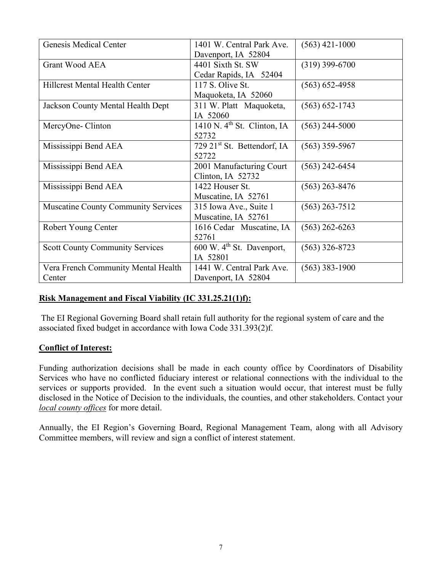| Genesis Medical Center                     | 1401 W. Central Park Ave.             | $(563)$ 421-1000   |
|--------------------------------------------|---------------------------------------|--------------------|
|                                            | Davenport, IA 52804                   |                    |
| <b>Grant Wood AEA</b>                      | 4401 Sixth St. SW                     | $(319)$ 399-6700   |
|                                            | Cedar Rapids, IA 52404                |                    |
| <b>Hillcrest Mental Health Center</b>      | 117 S. Olive St.                      | $(563) 652 - 4958$ |
|                                            | Maquoketa, IA 52060                   |                    |
| Jackson County Mental Health Dept          | 311 W. Platt Maquoketa,               | $(563) 652 - 1743$ |
|                                            | IA 52060                              |                    |
| MercyOne-Clinton                           | 1410 N. $4th$ St. Clinton, IA         | $(563)$ 244-5000   |
|                                            | 52732                                 |                    |
| Mississippi Bend AEA                       | 729 $21^{st}$ St. Bettendorf, IA      | $(563)$ 359-5967   |
|                                            | 52722                                 |                    |
| Mississippi Bend AEA                       | 2001 Manufacturing Court              | (563) 242-6454     |
|                                            | Clinton, IA 52732                     |                    |
| Mississippi Bend AEA                       | 1422 Houser St.                       | $(563)$ 263-8476   |
|                                            | Muscatine, IA 52761                   |                    |
| <b>Muscatine County Community Services</b> | 315 Iowa Ave., Suite 1                | $(563)$ 263-7512   |
|                                            | Muscatine, IA 52761                   |                    |
| Robert Young Center                        | 1616 Cedar Muscatine, IA              | $(563)$ 262-6263   |
|                                            | 52761                                 |                    |
| <b>Scott County Community Services</b>     | 600 W. 4 <sup>th</sup> St. Davenport, | $(563)$ 326-8723   |
|                                            | IA 52801                              |                    |
| Vera French Community Mental Health        | 1441 W. Central Park Ave.             | $(563)$ 383-1900   |
| Center                                     | Davenport, IA 52804                   |                    |

#### **Risk Management and Fiscal Viability (IC 331.25.21(1)f):**

The EI Regional Governing Board shall retain full authority for the regional system of care and the associated fixed budget in accordance with Iowa Code 331.393(2)f.

#### **Conflict of Interest:**

Funding authorization decisions shall be made in each county office by Coordinators of Disability Services who have no conflicted fiduciary interest or relational connections with the individual to the services or supports provided. In the event such a situation would occur, that interest must be fully disclosed in the Notice of Decision to the individuals, the counties, and other stakeholders. Contact your *local county offices* for more detail.

Annually, the EI Region's Governing Board, Regional Management Team, along with all Advisory Committee members, will review and sign a conflict of interest statement.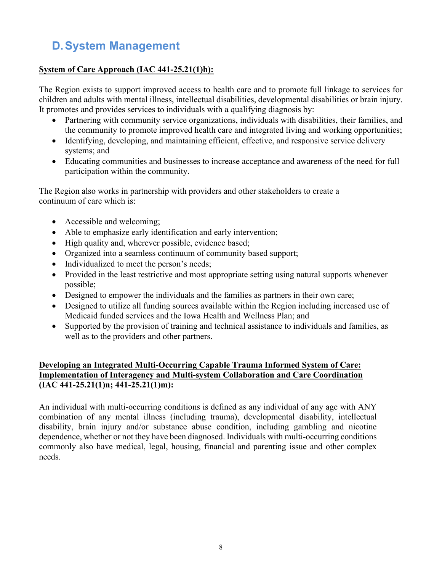# **D.System Management**

#### **System of Care Approach (IAC 441-25.21(1)h):**

The Region exists to support improved access to health care and to promote full linkage to services for children and adults with mental illness, intellectual disabilities, developmental disabilities or brain injury. It promotes and provides services to individuals with a qualifying diagnosis by:

- Partnering with community service organizations, individuals with disabilities, their families, and the community to promote improved health care and integrated living and working opportunities;
- Identifying, developing, and maintaining efficient, effective, and responsive service delivery systems; and
- Educating communities and businesses to increase acceptance and awareness of the need for full participation within the community.

The Region also works in partnership with providers and other stakeholders to create a continuum of care which is:

- Accessible and welcoming;
- Able to emphasize early identification and early intervention;
- High quality and, wherever possible, evidence based;
- Organized into a seamless continuum of community based support;
- Individualized to meet the person's needs;
- Provided in the least restrictive and most appropriate setting using natural supports whenever possible;
- Designed to empower the individuals and the families as partners in their own care;
- Designed to utilize all funding sources available within the Region including increased use of Medicaid funded services and the Iowa Health and Wellness Plan; and
- Supported by the provision of training and technical assistance to individuals and families, as well as to the providers and other partners.

## **Developing an Integrated Multi-Occurring Capable Trauma Informed System of Care: Implementation of Interagency and Multi-system Collaboration and Care Coordination (IAC 441-25.21(1)n; 441-25.21(1)m):**

An individual with multi-occurring conditions is defined as any individual of any age with ANY combination of any mental illness (including trauma), developmental disability, intellectual disability, brain injury and/or substance abuse condition, including gambling and nicotine dependence, whether or not they have been diagnosed. Individuals with multi-occurring conditions commonly also have medical, legal, housing, financial and parenting issue and other complex needs.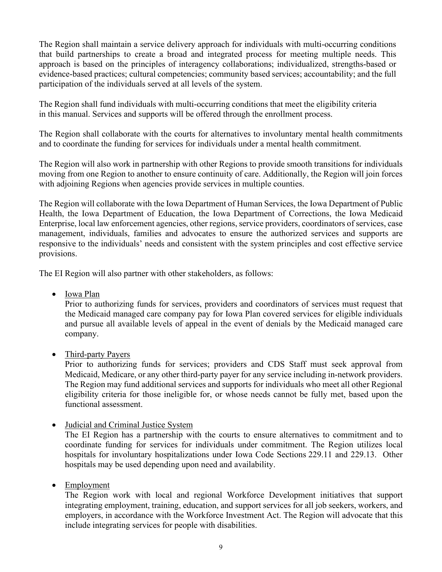The Region shall maintain a service delivery approach for individuals with multi-occurring conditions that build partnerships to create a broad and integrated process for meeting multiple needs. This approach is based on the principles of interagency collaborations; individualized, strengths-based or evidence-based practices; cultural competencies; community based services; accountability; and the full participation of the individuals served at all levels of the system.

The Region shall fund individuals with multi-occurring conditions that meet the eligibility criteria in this manual. Services and supports will be offered through the enrollment process.

The Region shall collaborate with the courts for alternatives to involuntary mental health commitments and to coordinate the funding for services for individuals under a mental health commitment.

The Region will also work in partnership with other Regions to provide smooth transitions for individuals moving from one Region to another to ensure continuity of care. Additionally, the Region will join forces with adjoining Regions when agencies provide services in multiple counties.

The Region will collaborate with the Iowa Department of Human Services, the Iowa Department of Public Health, the Iowa Department of Education, the Iowa Department of Corrections, the Iowa Medicaid Enterprise, local law enforcement agencies, other regions, service providers, coordinators of services, case management, individuals, families and advocates to ensure the authorized services and supports are responsive to the individuals' needs and consistent with the system principles and cost effective service provisions.

The EI Region will also partner with other stakeholders, as follows:

• Iowa Plan

Prior to authorizing funds for services, providers and coordinators of services must request that the Medicaid managed care company pay for Iowa Plan covered services for eligible individuals and pursue all available levels of appeal in the event of denials by the Medicaid managed care company.

• Third-party Payers

Prior to authorizing funds for services; providers and CDS Staff must seek approval from Medicaid, Medicare, or any other third-party payer for any service including in-network providers. The Region may fund additional services and supports for individuals who meet all other Regional eligibility criteria for those ineligible for, or whose needs cannot be fully met, based upon the functional assessment.

• Judicial and Criminal Justice System

The EI Region has a partnership with the courts to ensure alternatives to commitment and to coordinate funding for services for individuals under commitment. The Region utilizes local hospitals for involuntary hospitalizations under Iowa Code Sections 229.11 and 229.13. Other hospitals may be used depending upon need and availability.

• Employment

The Region work with local and regional Workforce Development initiatives that support integrating employment, training, education, and support services for all job seekers, workers, and employers, in accordance with the Workforce Investment Act. The Region will advocate that this include integrating services for people with disabilities.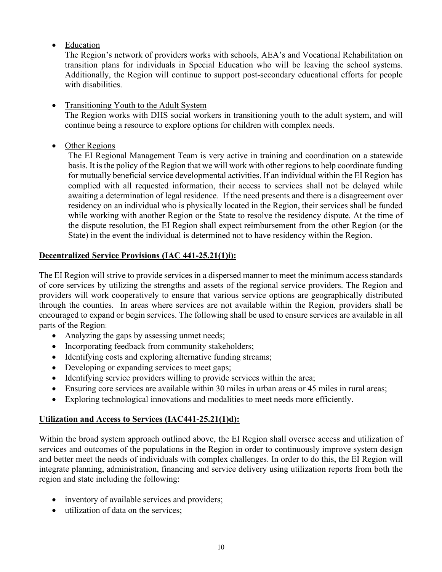• Education

The Region's network of providers works with schools, AEA's and Vocational Rehabilitation on transition plans for individuals in Special Education who will be leaving the school systems. Additionally, the Region will continue to support post-secondary educational efforts for people with disabilities.

• Transitioning Youth to the Adult System

The Region works with DHS social workers in transitioning youth to the adult system, and will continue being a resource to explore options for children with complex needs.

• Other Regions

The EI Regional Management Team is very active in training and coordination on a statewide basis. It is the policy of the Region that we will work with other regions to help coordinate funding for mutually beneficial service developmental activities. If an individual within the EI Region has complied with all requested information, their access to services shall not be delayed while awaiting a determination of legal residence*.* If the need presents and there is a disagreement over residency on an individual who is physically located in the Region, their services shall be funded while working with another Region or the State to resolve the residency dispute. At the time of the dispute resolution, the EI Region shall expect reimbursement from the other Region (or the State) in the event the individual is determined not to have residency within the Region.

## **Decentralized Service Provisions (IAC 441-25.21(1)i):**

The EI Region will strive to provide services in a dispersed manner to meet the minimum access standards of core services by utilizing the strengths and assets of the regional service providers. The Region and providers will work cooperatively to ensure that various service options are geographically distributed through the counties. In areas where services are not available within the Region, providers shall be encouraged to expand or begin services. The following shall be used to ensure services are available in all parts of the Region:

- Analyzing the gaps by assessing unmet needs;
- Incorporating feedback from community stakeholders;
- Identifying costs and exploring alternative funding streams;
- Developing or expanding services to meet gaps;
- Identifying service providers willing to provide services within the area;
- Ensuring core services are available within 30 miles in urban areas or 45 miles in rural areas;
- Exploring technological innovations and modalities to meet needs more efficiently.

## **Utilization and Access to Services (IAC441-25.21(1)d):**

Within the broad system approach outlined above, the EI Region shall oversee access and utilization of services and outcomes of the populations in the Region in order to continuously improve system design and better meet the needs of individuals with complex challenges. In order to do this, the EI Region will integrate planning, administration, financing and service delivery using utilization reports from both the region and state including the following:

- inventory of available services and providers;
- utilization of data on the services: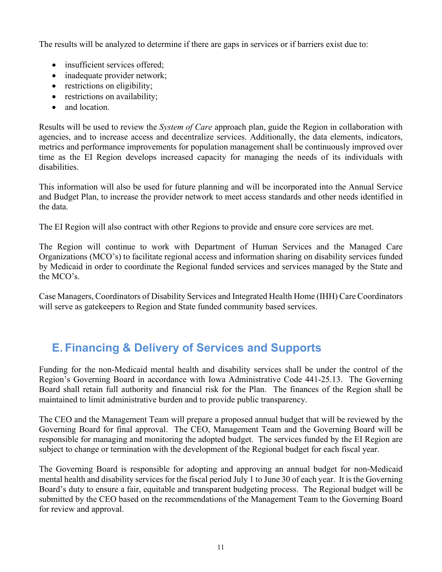The results will be analyzed to determine if there are gaps in services or if barriers exist due to:

- insufficient services offered:
- inadequate provider network;
- restrictions on eligibility;
- restrictions on availability;
- and location.

Results will be used to review the *System of Care* approach plan, guide the Region in collaboration with agencies, and to increase access and decentralize services. Additionally, the data elements, indicators, metrics and performance improvements for population management shall be continuously improved over time as the EI Region develops increased capacity for managing the needs of its individuals with disabilities.

This information will also be used for future planning and will be incorporated into the Annual Service and Budget Plan, to increase the provider network to meet access standards and other needs identified in the data.

The EI Region will also contract with other Regions to provide and ensure core services are met.

The Region will continue to work with Department of Human Services and the Managed Care Organizations (MCO's) to facilitate regional access and information sharing on disability services funded by Medicaid in order to coordinate the Regional funded services and services managed by the State and the MCO's.

Case Managers, Coordinators of Disability Services and Integrated Health Home (IHH) Care Coordinators will serve as gatekeepers to Region and State funded community based services.

# **E. Financing & Delivery of Services and Supports**

Funding for the non-Medicaid mental health and disability services shall be under the control of the Region's Governing Board in accordance with Iowa Administrative Code 441-25.13.The Governing Board shall retain full authority and financial risk for the Plan. The finances of the Region shall be maintained to limit administrative burden and to provide public transparency.

The CEO and the Management Team will prepare a proposed annual budget that will be reviewed by the Governing Board for final approval. The CEO, Management Team and the Governing Board will be responsible for managing and monitoring the adopted budget. The services funded by the EI Region are subject to change or termination with the development of the Regional budget for each fiscal year.

The Governing Board is responsible for adopting and approving an annual budget for non-Medicaid mental health and disability services for the fiscal period July 1 to June 30 of each year. It is the Governing Board's duty to ensure a fair, equitable and transparent budgeting process. The Regional budget will be submitted by the CEO based on the recommendations of the Management Team to the Governing Board for review and approval.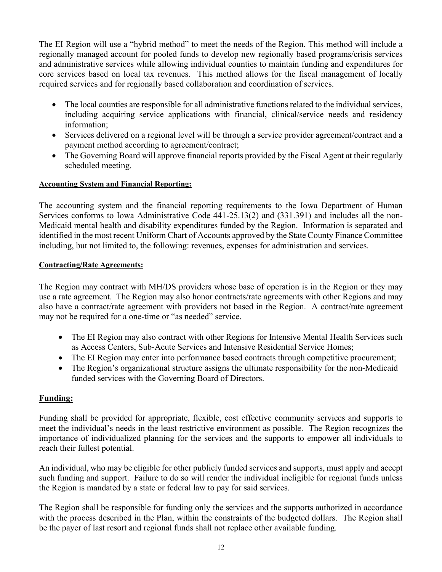The EI Region will use a "hybrid method" to meet the needs of the Region. This method will include a regionally managed account for pooled funds to develop new regionally based programs/crisis services and administrative services while allowing individual counties to maintain funding and expenditures for core services based on local tax revenues. This method allows for the fiscal management of locally required services and for regionally based collaboration and coordination of services.

- The local counties are responsible for all administrative functions related to the individual services, including acquiring service applications with financial, clinical/service needs and residency information;
- Services delivered on a regional level will be through a service provider agreement/contract and a payment method according to agreement/contract;
- The Governing Board will approve financial reports provided by the Fiscal Agent at their regularly scheduled meeting.

#### **Accounting System and Financial Reporting:**

The accounting system and the financial reporting requirements to the Iowa Department of Human Services conforms to Iowa Administrative Code 441-25.13(2) and (331.391) and includes all the non-Medicaid mental health and disability expenditures funded by the Region. Information is separated and identified in the most recent Uniform Chart of Accounts approved by the State County Finance Committee including, but not limited to, the following: revenues, expenses for administration and services.

#### **Contracting/Rate Agreements:**

The Region may contract with MH/DS providers whose base of operation is in the Region or they may use a rate agreement. The Region may also honor contracts/rate agreements with other Regions and may also have a contract/rate agreement with providers not based in the Region. A contract/rate agreement may not be required for a one-time or "as needed" service.

- The EI Region may also contract with other Regions for Intensive Mental Health Services such as Access Centers, Sub-Acute Services and Intensive Residential Service Homes;
- The EI Region may enter into performance based contracts through competitive procurement;
- The Region's organizational structure assigns the ultimate responsibility for the non-Medicaid funded services with the Governing Board of Directors.

#### **Funding:**

Funding shall be provided for appropriate, flexible, cost effective community services and supports to meet the individual's needs in the least restrictive environment as possible. The Region recognizes the importance of individualized planning for the services and the supports to empower all individuals to reach their fullest potential.

An individual, who may be eligible for other publicly funded services and supports, must apply and accept such funding and support. Failure to do so will render the individual ineligible for regional funds unless the Region is mandated by a state or federal law to pay for said services.

The Region shall be responsible for funding only the services and the supports authorized in accordance with the process described in the Plan, within the constraints of the budgeted dollars. The Region shall be the payer of last resort and regional funds shall not replace other available funding.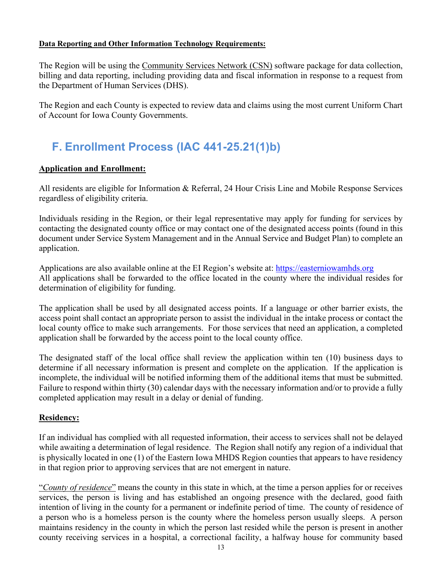#### **Data Reporting and Other Information Technology Requirements:**

The Region will be using the Community Services Network (CSN) software package for data collection, billing and data reporting, including providing data and fiscal information in response to a request from the Department of Human Services (DHS).

The Region and each County is expected to review data and claims using the most current Uniform Chart of Account for Iowa County Governments.

# **F. Enrollment Process (IAC 441-25.21(1)b)**

#### **Application and Enrollment:**

All residents are eligible for Information & Referral, 24 Hour Crisis Line and Mobile Response Services regardless of eligibility criteria.

Individuals residing in the Region, or their legal representative may apply for funding for services by contacting the designated county office or may contact one of the designated access points (found in this document under Service System Management and in the Annual Service and Budget Plan) to complete an application.

Applications are also available online at the EI Region's website at: [https://easterniowamhds.org](https://easterniowamhds.org/) All applications shall be forwarded to the office located in the county where the individual resides for determination of eligibility for funding.

The application shall be used by all designated access points. If a language or other barrier exists, the access point shall contact an appropriate person to assist the individual in the intake process or contact the local county office to make such arrangements. For those services that need an application, a completed application shall be forwarded by the access point to the local county office.

The designated staff of the local office shall review the application within ten (10) business days to determine if all necessary information is present and complete on the application. If the application is incomplete, the individual will be notified informing them of the additional items that must be submitted. Failure to respond within thirty (30) calendar days with the necessary information and/or to provide a fully completed application may result in a delay or denial of funding.

#### **Residency:**

If an individual has complied with all requested information, their access to services shall not be delayed while awaiting a determination of legal residence. The Region shall notify any region of a individual that is physically located in one (1) of the Eastern Iowa MHDS Region counties that appears to have residency in that region prior to approving services that are not emergent in nature.

"*County of residence*" means the county in this state in which, at the time a person applies for or receives services, the person is living and has established an ongoing presence with the declared, good faith intention of living in the county for a permanent or indefinite period of time. The county of residence of a person who is a homeless person is the county where the homeless person usually sleeps. A person maintains residency in the county in which the person last resided while the person is present in another county receiving services in a hospital, a correctional facility, a halfway house for community based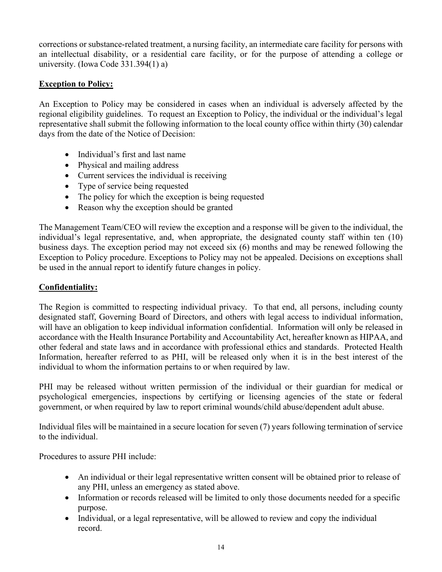corrections or substance-related treatment, a nursing facility, an intermediate care facility for persons with an intellectual disability, or a residential care facility, or for the purpose of attending a college or university. (Iowa Code 331.394(1) a)

## **Exception to Policy:**

An Exception to Policy may be considered in cases when an individual is adversely affected by the regional eligibility guidelines. To request an Exception to Policy, the individual or the individual's legal representative shall submit the following information to the local county office within thirty (30) calendar days from the date of the Notice of Decision:

- Individual's first and last name
- Physical and mailing address
- Current services the individual is receiving
- Type of service being requested
- The policy for which the exception is being requested
- Reason why the exception should be granted

The Management Team/CEO will review the exception and a response will be given to the individual, the individual's legal representative, and, when appropriate, the designated county staff within ten (10) business days. The exception period may not exceed six (6) months and may be renewed following the Exception to Policy procedure. Exceptions to Policy may not be appealed. Decisions on exceptions shall be used in the annual report to identify future changes in policy.

#### **Confidentiality:**

The Region is committed to respecting individual privacy. To that end, all persons, including county designated staff, Governing Board of Directors, and others with legal access to individual information, will have an obligation to keep individual information confidential. Information will only be released in accordance with the Health Insurance Portability and Accountability Act, hereafter known as HIPAA, and other federal and state laws and in accordance with professional ethics and standards. Protected Health Information, hereafter referred to as PHI, will be released only when it is in the best interest of the individual to whom the information pertains to or when required by law.

PHI may be released without written permission of the individual or their guardian for medical or psychological emergencies, inspections by certifying or licensing agencies of the state or federal government, or when required by law to report criminal wounds/child abuse/dependent adult abuse.

Individual files will be maintained in a secure location for seven (7) years following termination of service to the individual.

Procedures to assure PHI include:

- An individual or their legal representative written consent will be obtained prior to release of any PHI, unless an emergency as stated above.
- Information or records released will be limited to only those documents needed for a specific purpose.
- Individual, or a legal representative, will be allowed to review and copy the individual record.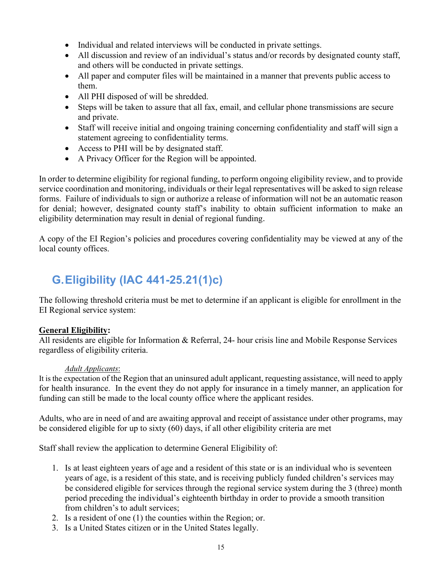- Individual and related interviews will be conducted in private settings.
- All discussion and review of an individual's status and/or records by designated county staff, and others will be conducted in private settings.
- All paper and computer files will be maintained in a manner that prevents public access to them.
- All PHI disposed of will be shredded.
- Steps will be taken to assure that all fax, email, and cellular phone transmissions are secure and private.
- Staff will receive initial and ongoing training concerning confidentiality and staff will sign a statement agreeing to confidentiality terms.
- Access to PHI will be by designated staff.
- A Privacy Officer for the Region will be appointed.

In order to determine eligibility for regional funding, to perform ongoing eligibility review, and to provide service coordination and monitoring, individuals or their legal representatives will be asked to sign release forms. Failure of individuals to sign or authorize a release of information will not be an automatic reason for denial; however, designated county staff's inability to obtain sufficient information to make an eligibility determination may result in denial of regional funding.

A copy of the EI Region's policies and procedures covering confidentiality may be viewed at any of the local county offices.

# **G.Eligibility (IAC 441-25.21(1)c)**

The following threshold criteria must be met to determine if an applicant is eligible for enrollment in the EI Regional service system:

#### **General Eligibility:**

All residents are eligible for Information & Referral, 24- hour crisis line and Mobile Response Services regardless of eligibility criteria.

#### *Adult Applicants*:

It is the expectation of the Region that an uninsured adult applicant, requesting assistance, will need to apply for health insurance. In the event they do not apply for insurance in a timely manner, an application for funding can still be made to the local county office where the applicant resides.

Adults, who are in need of and are awaiting approval and receipt of assistance under other programs, may be considered eligible for up to sixty (60) days, if all other eligibility criteria are met

Staff shall review the application to determine General Eligibility of:

- 1. Is at least eighteen years of age and a resident of this state or is an individual who is seventeen years of age, is a resident of this state, and is receiving publicly funded children's services may be considered eligible for services through the regional service system during the 3 (three) month period preceding the individual's eighteenth birthday in order to provide a smooth transition from children's to adult services;
- 2. Is a resident of one (1) the counties within the Region; or.
- 3. Is a United States citizen or in the United States legally.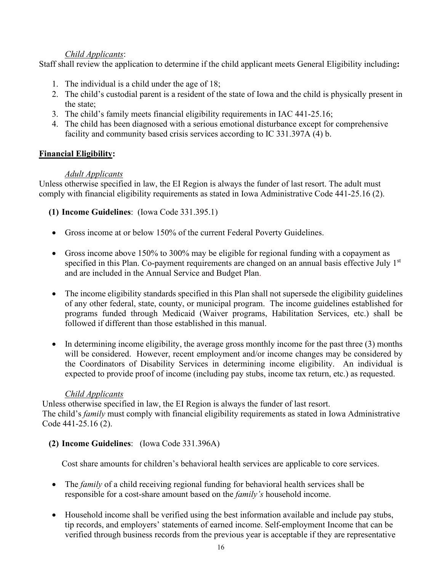## *Child Applicants*:

Staff shall review the application to determine if the child applicant meets General Eligibility including**:**

- 1. The individual is a child under the age of 18;
- 2. The child's custodial parent is a resident of the state of Iowa and the child is physically present in the state;
- 3. The child's family meets financial eligibility requirements in IAC 441-25.16;
- 4. The child has been diagnosed with a serious emotional disturbance except for comprehensive facility and community based crisis services according to IC 331.397A (4) b.

## **Financial Eligibility:**

## *Adult Applicants*

Unless otherwise specified in law, the EI Region is always the funder of last resort. The adult must comply with financial eligibility requirements as stated in Iowa Administrative Code 441-25.16 (2).

**(1) Income Guidelines**: (Iowa Code 331.395.1)

- Gross income at or below 150% of the current Federal Poverty Guidelines.
- Gross income above 150% to 300% may be eligible for regional funding with a copayment as specified in this Plan. Co-payment requirements are changed on an annual basis effective July 1<sup>st</sup> and are included in the Annual Service and Budget Plan.
- The income eligibility standards specified in this Plan shall not supersede the eligibility guidelines of any other federal, state, county, or municipal program. The income guidelines established for programs funded through Medicaid (Waiver programs, Habilitation Services, etc.) shall be followed if different than those established in this manual.
- In determining income eligibility, the average gross monthly income for the past three (3) months will be considered. However, recent employment and/or income changes may be considered by the Coordinators of Disability Services in determining income eligibility. An individual is expected to provide proof of income (including pay stubs, income tax return, etc.) as requested.

#### *Child Applicants*

Unless otherwise specified in law, the EI Region is always the funder of last resort. The child's *family* must comply with financial eligibility requirements as stated in Iowa Administrative Code 441-25.16 (2).

## **(2) Income Guidelines**: (Iowa Code 331.396A)

Cost share amounts for children's behavioral health services are applicable to core services.

- The *family* of a child receiving regional funding for behavioral health services shall be responsible for a cost-share amount based on the *family's* household income.
- Household income shall be verified using the best information available and include pay stubs, tip records, and employers' statements of earned income. Self-employment Income that can be verified through business records from the previous year is acceptable if they are representative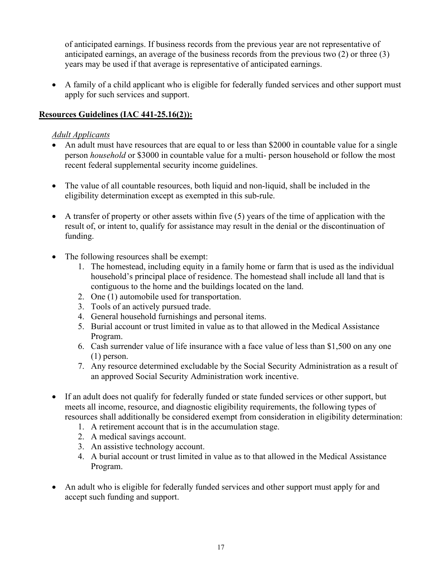of anticipated earnings. If business records from the previous year are not representative of anticipated earnings, an average of the business records from the previous two (2) or three (3) years may be used if that average is representative of anticipated earnings.

• A family of a child applicant who is eligible for federally funded services and other support must apply for such services and support.

## **Resources Guidelines (IAC 441-25.16(2)):**

## *Adult Applicants*

- An adult must have resources that are equal to or less than \$2000 in countable value for a single person *household* or \$3000 in countable value for a multi- person household or follow the most recent federal supplemental security income guidelines.
- The value of all countable resources, both liquid and non-liquid, shall be included in the eligibility determination except as exempted in this sub-rule.
- A transfer of property or other assets within five (5) years of the time of application with the result of, or intent to, qualify for assistance may result in the denial or the discontinuation of funding.
- The following resources shall be exempt:
	- 1. The homestead, including equity in a family home or farm that is used as the individual household's principal place of residence. The homestead shall include all land that is contiguous to the home and the buildings located on the land.
	- 2. One (1) automobile used for transportation.
	- 3. Tools of an actively pursued trade.
	- 4. General household furnishings and personal items.
	- 5. Burial account or trust limited in value as to that allowed in the Medical Assistance Program.
	- 6. Cash surrender value of life insurance with a face value of less than \$1,500 on any one (1) person.
	- 7. Any resource determined excludable by the Social Security Administration as a result of an approved Social Security Administration work incentive.
- If an adult does not qualify for federally funded or state funded services or other support, but meets all income, resource, and diagnostic eligibility requirements, the following types of resources shall additionally be considered exempt from consideration in eligibility determination:
	- 1. A retirement account that is in the accumulation stage.
	- 2. A medical savings account.
	- 3. An assistive technology account.
	- 4. A burial account or trust limited in value as to that allowed in the Medical Assistance Program.
- An adult who is eligible for federally funded services and other support must apply for and accept such funding and support.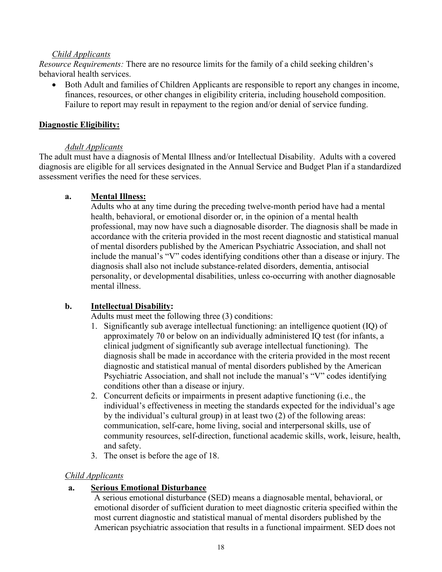#### *Child Applicants*

*Resource Requirements:* There are no resource limits for the family of a child seeking children's behavioral health services.

• Both Adult and families of Children Applicants are responsible to report any changes in income, finances, resources, or other changes in eligibility criteria, including household composition. Failure to report may result in repayment to the region and/or denial of service funding.

#### **Diagnostic Eligibility:**

#### *Adult Applicants*

The adult must have a diagnosis of Mental Illness and/or Intellectual Disability. Adults with a covered diagnosis are eligible for all services designated in the Annual Service and Budget Plan if a standardized assessment verifies the need for these services.

#### **a. Mental Illness:**

Adults who at any time during the preceding twelve-month period have had a mental health, behavioral, or emotional disorder or, in the opinion of a mental health professional, may now have such a diagnosable disorder. The diagnosis shall be made in accordance with the criteria provided in the most recent diagnostic and statistical manual of mental disorders published by the American Psychiatric Association, and shall not include the manual's "V" codes identifying conditions other than a disease or injury. The diagnosis shall also not include substance-related disorders, dementia, antisocial personality, or developmental disabilities, unless co-occurring with another diagnosable mental illness.

#### **b. Intellectual Disability:**

Adults must meet the following three (3) conditions:

- 1. Significantly sub average intellectual functioning: an intelligence quotient (IQ) of approximately 70 or below on an individually administered IQ test (for infants, a clinical judgment of significantly sub average intellectual functioning). The diagnosis shall be made in accordance with the criteria provided in the most recent diagnostic and statistical manual of mental disorders published by the American Psychiatric Association, and shall not include the manual's "V" codes identifying conditions other than a disease or injury.
- 2. Concurrent deficits or impairments in present adaptive functioning (i.e., the individual's effectiveness in meeting the standards expected for the individual's age by the individual's cultural group) in at least two (2) of the following areas: communication, self-care, home living, social and interpersonal skills, use of community resources, self-direction, functional academic skills, work, leisure, health, and safety.
- 3. The onset is before the age of 18.

#### *Child Applicants*

#### **a. Serious Emotional Disturbance**

A serious emotional disturbance (SED) means a diagnosable mental, behavioral, or emotional disorder of sufficient duration to meet diagnostic criteria specified within the most current diagnostic and statistical manual of mental disorders published by the American psychiatric association that results in a functional impairment. SED does not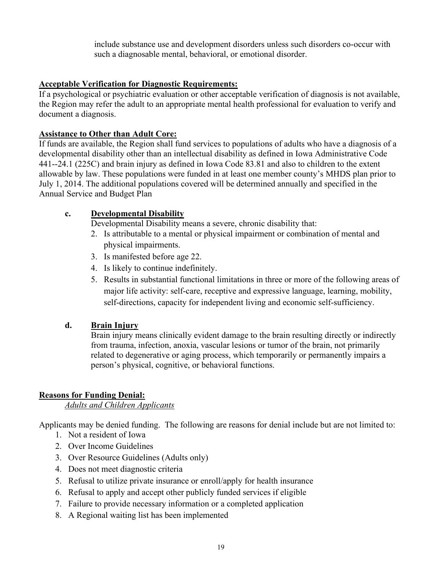include substance use and development disorders unless such disorders co-occur with such a diagnosable mental, behavioral, or emotional disorder.

#### **Acceptable Verification for Diagnostic Requirements:**

If a psychological or psychiatric evaluation or other acceptable verification of diagnosis is not available, the Region may refer the adult to an appropriate mental health professional for evaluation to verify and document a diagnosis.

#### **Assistance to Other than Adult Core:**

If funds are available, the Region shall fund services to populations of adults who have a diagnosis of a developmental disability other than an intellectual disability as defined in Iowa Administrative Code 441--24.1 (225C) and brain injury as defined in Iowa Code 83.81 and also to children to the extent allowable by law. These populations were funded in at least one member county's MHDS plan prior to July 1, 2014. The additional populations covered will be determined annually and specified in the Annual Service and Budget Plan

#### **c. Developmental Disability**

Developmental Disability means a severe, chronic disability that:

- 2. Is attributable to a mental or physical impairment or combination of mental and physical impairments.
- 3. Is manifested before age 22.
- 4. Is likely to continue indefinitely.
- 5. Results in substantial functional limitations in three or more of the following areas of major life activity: self-care, receptive and expressive language, learning, mobility, self-directions, capacity for independent living and economic self-sufficiency.

#### **d. Brain Injury**

Brain injury means clinically evident damage to the brain resulting directly or indirectly from trauma, infection, anoxia, vascular lesions or tumor of the brain, not primarily related to degenerative or aging process, which temporarily or permanently impairs a person's physical, cognitive, or behavioral functions.

#### **Reasons for Funding Denial:**

*Adults and Children Applicants*

Applicants may be denied funding. The following are reasons for denial include but are not limited to:

- 1. Not a resident of Iowa
- 2. Over Income Guidelines
- 3. Over Resource Guidelines (Adults only)
- 4. Does not meet diagnostic criteria
- 5. Refusal to utilize private insurance or enroll/apply for health insurance
- 6. Refusal to apply and accept other publicly funded services if eligible
- 7. Failure to provide necessary information or a completed application
- 8. A Regional waiting list has been implemented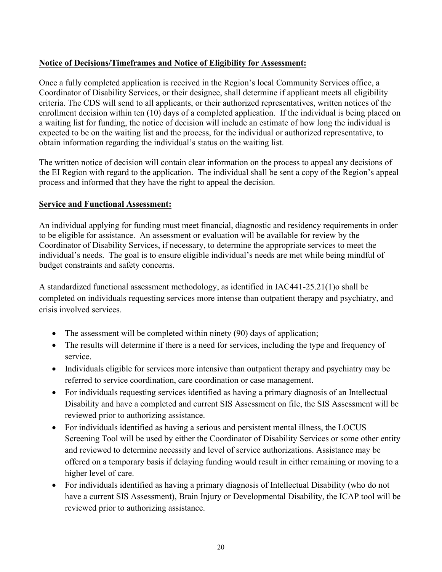## **Notice of Decisions/Timeframes and Notice of Eligibility for Assessment:**

Once a fully completed application is received in the Region's local Community Services office, a Coordinator of Disability Services, or their designee, shall determine if applicant meets all eligibility criteria. The CDS will send to all applicants, or their authorized representatives, written notices of the enrollment decision within ten (10) days of a completed application. If the individual is being placed on a waiting list for funding, the notice of decision will include an estimate of how long the individual is expected to be on the waiting list and the process, for the individual or authorized representative, to obtain information regarding the individual's status on the waiting list.

The written notice of decision will contain clear information on the process to appeal any decisions of the EI Region with regard to the application. The individual shall be sent a copy of the Region's appeal process and informed that they have the right to appeal the decision.

#### **Service and Functional Assessment:**

An individual applying for funding must meet financial, diagnostic and residency requirements in order to be eligible for assistance. An assessment or evaluation will be available for review by the Coordinator of Disability Services, if necessary, to determine the appropriate services to meet the individual's needs. The goal is to ensure eligible individual's needs are met while being mindful of budget constraints and safety concerns.

A standardized functional assessment methodology, as identified in IAC441-25.21(1)o shall be completed on individuals requesting services more intense than outpatient therapy and psychiatry, and crisis involved services.

- The assessment will be completed within ninety (90) days of application;
- The results will determine if there is a need for services, including the type and frequency of service.
- Individuals eligible for services more intensive than outpatient therapy and psychiatry may be referred to service coordination, care coordination or case management.
- For individuals requesting services identified as having a primary diagnosis of an Intellectual Disability and have a completed and current SIS Assessment on file, the SIS Assessment will be reviewed prior to authorizing assistance.
- For individuals identified as having a serious and persistent mental illness, the LOCUS Screening Tool will be used by either the Coordinator of Disability Services or some other entity and reviewed to determine necessity and level of service authorizations. Assistance may be offered on a temporary basis if delaying funding would result in either remaining or moving to a higher level of care.
- For individuals identified as having a primary diagnosis of Intellectual Disability (who do not have a current SIS Assessment), Brain Injury or Developmental Disability, the ICAP tool will be reviewed prior to authorizing assistance.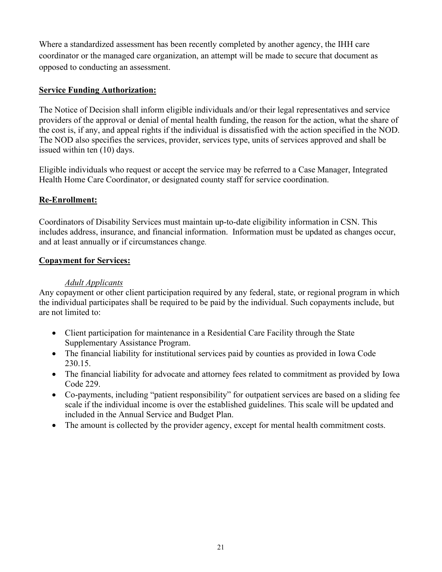Where a standardized assessment has been recently completed by another agency, the IHH care coordinator or the managed care organization, an attempt will be made to secure that document as opposed to conducting an assessment.

#### **Service Funding Authorization:**

The Notice of Decision shall inform eligible individuals and/or their legal representatives and service providers of the approval or denial of mental health funding, the reason for the action, what the share of the cost is, if any, and appeal rights if the individual is dissatisfied with the action specified in the NOD. The NOD also specifies the services, provider, services type, units of services approved and shall be issued within ten (10) days.

Eligible individuals who request or accept the service may be referred to a Case Manager, Integrated Health Home Care Coordinator, or designated county staff for service coordination.

#### **Re-Enrollment:**

Coordinators of Disability Services must maintain up-to-date eligibility information in CSN. This includes address, insurance, and financial information. Information must be updated as changes occur, and at least annually or if circumstances change.

#### **Copayment for Services:**

#### *Adult Applicants*

Any copayment or other client participation required by any federal, state, or regional program in which the individual participates shall be required to be paid by the individual. Such copayments include, but are not limited to:

- Client participation for maintenance in a Residential Care Facility through the State Supplementary Assistance Program.
- The financial liability for institutional services paid by counties as provided in Iowa Code 230.15.
- The financial liability for advocate and attorney fees related to commitment as provided by Iowa Code 229.
- Co-payments, including "patient responsibility" for outpatient services are based on a sliding fee scale if the individual income is over the established guidelines. This scale will be updated and included in the Annual Service and Budget Plan.
- The amount is collected by the provider agency, except for mental health commitment costs.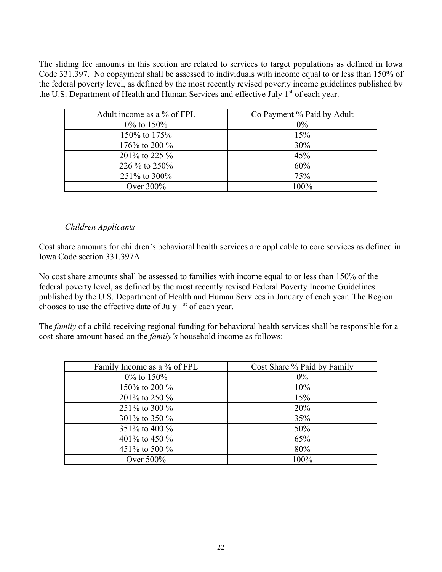The sliding fee amounts in this section are related to services to target populations as defined in Iowa Code 331.397. No copayment shall be assessed to individuals with income equal to or less than 150% of the federal poverty level, as defined by the most recently revised poverty income guidelines published by the U.S. Department of Health and Human Services and effective July 1<sup>st</sup> of each year.

| Adult income as a % of FPL | Co Payment % Paid by Adult |
|----------------------------|----------------------------|
| $0\%$ to 150%              | $0\%$                      |
| 150\% to 175\%             | 15%                        |
| 176% to 200 %              | 30%                        |
| 201\% to 225 \%            | 45%                        |
| 226 % to 250%              | 60%                        |
| 251\% to 300\%             | 75%                        |
| Over $300\%$               | $100\%$                    |
|                            |                            |

#### *Children Applicants*

Cost share amounts for children's behavioral health services are applicable to core services as defined in Iowa Code section 331.397A.

No cost share amounts shall be assessed to families with income equal to or less than 150% of the federal poverty level, as defined by the most recently revised Federal Poverty Income Guidelines published by the U.S. Department of Health and Human Services in January of each year. The Region chooses to use the effective date of July  $1<sup>st</sup>$  of each year.

The *family* of a child receiving regional funding for behavioral health services shall be responsible for a cost-share amount based on the *family's* household income as follows:

| Family Income as a % of FPL | Cost Share % Paid by Family |
|-----------------------------|-----------------------------|
| $0\%$ to 150%               | $0\%$                       |
| 150% to 200 %               | 10%                         |
| 201% to 250 %               | 15%                         |
| 251\% to 300 \%             | 20%                         |
| 301% to 350 %               | 35%                         |
| 351\% to 400 \%             | 50%                         |
| 401\% to 450 \%             | 65%                         |
| 451\% to 500 \%             | 80%                         |
| Over $500\%$                | 100%                        |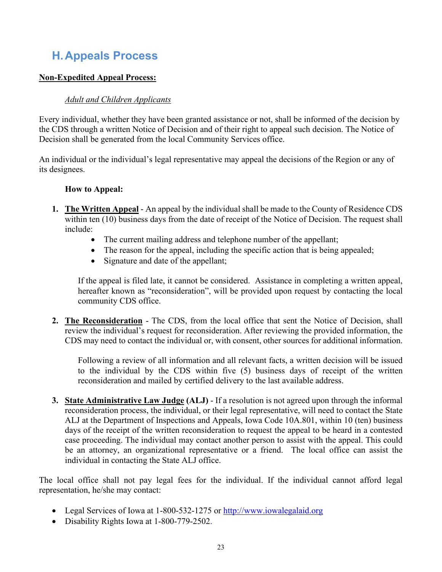# **H.Appeals Process**

## **Non-Expedited Appeal Process:**

## *Adult and Children Applicants*

Every individual, whether they have been granted assistance or not, shall be informed of the decision by the CDS through a written Notice of Decision and of their right to appeal such decision. The Notice of Decision shall be generated from the local Community Services office.

An individual or the individual's legal representative may appeal the decisions of the Region or any of its designees.

#### **How to Appeal:**

- **1. The Written Appeal** An appeal by the individual shall be made to the County of Residence CDS within ten (10) business days from the date of receipt of the Notice of Decision. The request shall include:
	- The current mailing address and telephone number of the appellant;
	- The reason for the appeal, including the specific action that is being appealed;
	- Signature and date of the appellant;

If the appeal is filed late, it cannot be considered. Assistance in completing a written appeal, hereafter known as "reconsideration", will be provided upon request by contacting the local community CDS office.

**2. The Reconsideration** - The CDS, from the local office that sent the Notice of Decision, shall review the individual's request for reconsideration. After reviewing the provided information, the CDS may need to contact the individual or, with consent, other sources for additional information.

Following a review of all information and all relevant facts, a written decision will be issued to the individual by the CDS within five (5) business days of receipt of the written reconsideration and mailed by certified delivery to the last available address.

**3. State Administrative Law Judge (ALJ)** - If a resolution is not agreed upon through the informal reconsideration process, the individual, or their legal representative, will need to contact the State ALJ at the Department of Inspections and Appeals, Iowa Code 10A.801, within 10 (ten) business days of the receipt of the written reconsideration to request the appeal to be heard in a contested case proceeding. The individual may contact another person to assist with the appeal. This could be an attorney, an organizational representative or a friend. The local office can assist the individual in contacting the State ALJ office.

The local office shall not pay legal fees for the individual. If the individual cannot afford legal representation, he/she may contact:

- Legal Services of Iowa at 1-800-532-1275 or http://www.iowalegalaid.org
- Disability Rights Iowa at 1-800-779-2502.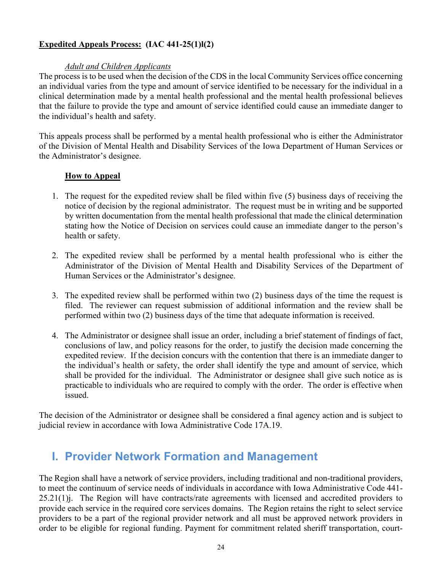## **Expedited Appeals Process: (IAC 441-25(1)l(2)**

#### *Adult and Children Applicants*

The process is to be used when the decision of the CDS in the local Community Services office concerning an individual varies from the type and amount of service identified to be necessary for the individual in a clinical determination made by a mental health professional and the mental health professional believes that the failure to provide the type and amount of service identified could cause an immediate danger to the individual's health and safety.

This appeals process shall be performed by a mental health professional who is either the Administrator of the Division of Mental Health and Disability Services of the Iowa Department of Human Services or the Administrator's designee.

#### **How to Appeal**

- 1. The request for the expedited review shall be filed within five (5) business days of receiving the notice of decision by the regional administrator. The request must be in writing and be supported by written documentation from the mental health professional that made the clinical determination stating how the Notice of Decision on services could cause an immediate danger to the person's health or safety.
- 2. The expedited review shall be performed by a mental health professional who is either the Administrator of the Division of Mental Health and Disability Services of the Department of Human Services or the Administrator's designee.
- 3. The expedited review shall be performed within two (2) business days of the time the request is filed. The reviewer can request submission of additional information and the review shall be performed within two (2) business days of the time that adequate information is received.
- 4. The Administrator or designee shall issue an order, including a brief statement of findings of fact, conclusions of law, and policy reasons for the order, to justify the decision made concerning the expedited review. If the decision concurs with the contention that there is an immediate danger to the individual's health or safety, the order shall identify the type and amount of service, which shall be provided for the individual. The Administrator or designee shall give such notice as is practicable to individuals who are required to comply with the order. The order is effective when issued.

The decision of the Administrator or designee shall be considered a final agency action and is subject to judicial review in accordance with Iowa Administrative Code 17A.19.

## **I. Provider Network Formation and Management**

The Region shall have a network of service providers, including traditional and non-traditional providers, to meet the continuum of service needs of individuals in accordance with Iowa Administrative Code 441- 25.21(1)j. The Region will have contracts/rate agreements with licensed and accredited providers to provide each service in the required core services domains. The Region retains the right to select service providers to be a part of the regional provider network and all must be approved network providers in order to be eligible for regional funding. Payment for commitment related sheriff transportation, court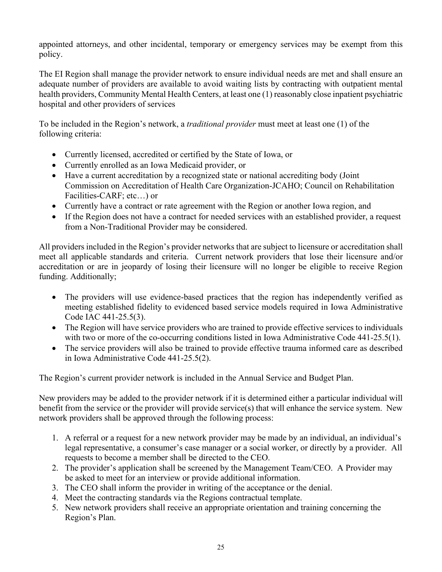appointed attorneys, and other incidental, temporary or emergency services may be exempt from this policy.

The EI Region shall manage the provider network to ensure individual needs are met and shall ensure an adequate number of providers are available to avoid waiting lists by contracting with outpatient mental health providers, Community Mental Health Centers, at least one (1) reasonably close inpatient psychiatric hospital and other providers of services

To be included in the Region's network, a *traditional provider* must meet at least one (1) of the following criteria:

- Currently licensed, accredited or certified by the State of Iowa, or
- Currently enrolled as an Iowa Medicaid provider, or
- Have a current accreditation by a recognized state or national accrediting body (Joint Commission on Accreditation of Health Care Organization-JCAHO; Council on Rehabilitation Facilities-CARF; etc…) or
- Currently have a contract or rate agreement with the Region or another Iowa region, and
- If the Region does not have a contract for needed services with an established provider, a request from a Non-Traditional Provider may be considered.

All providers included in the Region's provider networks that are subject to licensure or accreditation shall meet all applicable standards and criteria. Current network providers that lose their licensure and/or accreditation or are in jeopardy of losing their licensure will no longer be eligible to receive Region funding. Additionally;

- The providers will use evidence-based practices that the region has independently verified as meeting established fidelity to evidenced based service models required in Iowa Administrative Code IAC 441-25.5(3).
- The Region will have service providers who are trained to provide effective services to individuals with two or more of the co-occurring conditions listed in Iowa Administrative Code 441-25.5(1).
- The service providers will also be trained to provide effective trauma informed care as described in Iowa Administrative Code 441-25.5(2).

The Region's current provider network is included in the Annual Service and Budget Plan.

New providers may be added to the provider network if it is determined either a particular individual will benefit from the service or the provider will provide service(s) that will enhance the service system. New network providers shall be approved through the following process:

- 1. A referral or a request for a new network provider may be made by an individual, an individual's legal representative, a consumer's case manager or a social worker, or directly by a provider. All requests to become a member shall be directed to the CEO.
- 2. The provider's application shall be screened by the Management Team/CEO. A Provider may be asked to meet for an interview or provide additional information.
- 3. The CEO shall inform the provider in writing of the acceptance or the denial.
- 4. Meet the contracting standards via the Regions contractual template.
- 5. New network providers shall receive an appropriate orientation and training concerning the Region's Plan.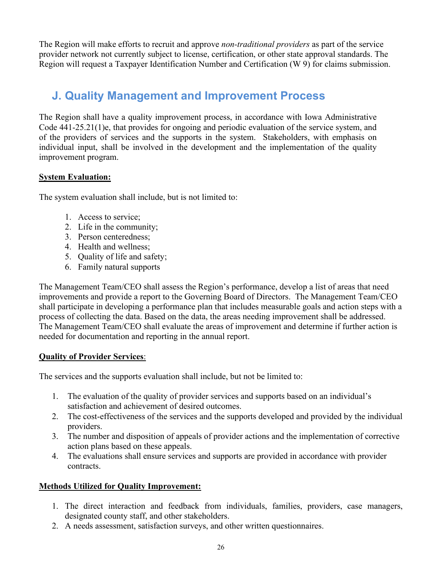The Region will make efforts to recruit and approve *non-traditional providers* as part of the service provider network not currently subject to license, certification, or other state approval standards. The Region will request a Taxpayer Identification Number and Certification (W 9) for claims submission.

# **J. Quality Management and Improvement Process**

The Region shall have a quality improvement process, in accordance with Iowa Administrative Code 441-25.21(1)e, that provides for ongoing and periodic evaluation of the service system, and of the providers of services and the supports in the system. Stakeholders, with emphasis on individual input, shall be involved in the development and the implementation of the quality improvement program.

## **System Evaluation:**

The system evaluation shall include, but is not limited to:

- 1. Access to service;
- 2. Life in the community;
- 3. Person centeredness;
- 4. Health and wellness;
- 5. Quality of life and safety;
- 6. Family natural supports

The Management Team/CEO shall assess the Region's performance, develop a list of areas that need improvements and provide a report to the Governing Board of Directors. The Management Team/CEO shall participate in developing a performance plan that includes measurable goals and action steps with a process of collecting the data. Based on the data, the areas needing improvement shall be addressed. The Management Team/CEO shall evaluate the areas of improvement and determine if further action is needed for documentation and reporting in the annual report.

## **Quality of Provider Services**:

The services and the supports evaluation shall include, but not be limited to:

- 1. The evaluation of the quality of provider services and supports based on an individual's satisfaction and achievement of desired outcomes.
- 2. The cost-effectiveness of the services and the supports developed and provided by the individual providers.
- 3. The number and disposition of appeals of provider actions and the implementation of corrective action plans based on these appeals.
- 4. The evaluations shall ensure services and supports are provided in accordance with provider contracts.

#### **Methods Utilized for Quality Improvement:**

- 1. The direct interaction and feedback from individuals, families, providers, case managers, designated county staff, and other stakeholders.
- 2. A needs assessment, satisfaction surveys, and other written questionnaires.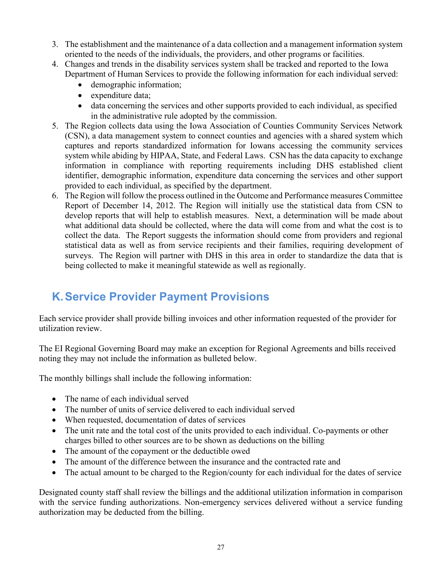- 3. The establishment and the maintenance of a data collection and a management information system oriented to the needs of the individuals, the providers, and other programs or facilities.
- 4. Changes and trends in the disability services system shall be tracked and reported to the Iowa Department of Human Services to provide the following information for each individual served:
	- demographic information;
	- expenditure data;
	- data concerning the services and other supports provided to each individual, as specified in the administrative rule adopted by the commission.
- 5. The Region collects data using the Iowa Association of Counties Community Services Network (CSN), a data management system to connect counties and agencies with a shared system which captures and reports standardized information for Iowans accessing the community services system while abiding by HIPAA, State, and Federal Laws. CSN has the data capacity to exchange information in compliance with reporting requirements including DHS established client identifier, demographic information, expenditure data concerning the services and other support provided to each individual, as specified by the department.
- 6. The Region will follow the process outlined in the Outcome and Performance measures Committee Report of December 14, 2012. The Region will initially use the statistical data from CSN to develop reports that will help to establish measures. Next, a determination will be made about what additional data should be collected, where the data will come from and what the cost is to collect the data. The Report suggests the information should come from providers and regional statistical data as well as from service recipients and their families, requiring development of surveys. The Region will partner with DHS in this area in order to standardize the data that is being collected to make it meaningful statewide as well as regionally.

# **K.Service Provider Payment Provisions**

Each service provider shall provide billing invoices and other information requested of the provider for utilization review.

The EI Regional Governing Board may make an exception for Regional Agreements and bills received noting they may not include the information as bulleted below.

The monthly billings shall include the following information:

- The name of each individual served
- The number of units of service delivered to each individual served
- When requested, documentation of dates of services
- The unit rate and the total cost of the units provided to each individual. Co-payments or other charges billed to other sources are to be shown as deductions on the billing
- The amount of the copayment or the deductible owed
- The amount of the difference between the insurance and the contracted rate and
- The actual amount to be charged to the Region/county for each individual for the dates of service

Designated county staff shall review the billings and the additional utilization information in comparison with the service funding authorizations. Non-emergency services delivered without a service funding authorization may be deducted from the billing.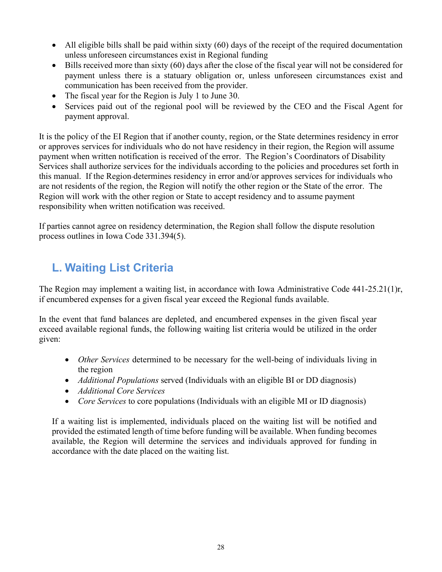- All eligible bills shall be paid within sixty (60) days of the receipt of the required documentation unless unforeseen circumstances exist in Regional funding
- Bills received more than sixty (60) days after the close of the fiscal year will not be considered for payment unless there is a statuary obligation or, unless unforeseen circumstances exist and communication has been received from the provider.
- The fiscal year for the Region is July 1 to June 30.
- Services paid out of the regional pool will be reviewed by the CEO and the Fiscal Agent for payment approval.

It is the policy of the EI Region that if another county, region, or the State determines residency in error or approves services for individuals who do not have residency in their region, the Region will assume payment when written notification is received of the error. The Region's Coordinators of Disability Services shall authorize services for the individuals according to the policies and procedures set forth in this manual. If the Region determines residency in error and/or approves services for individuals who are not residents of the region, the Region will notify the other region or the State of the error. The Region will work with the other region or State to accept residency and to assume payment responsibility when written notification was received.

If parties cannot agree on residency determination, the Region shall follow the dispute resolution process outlines in Iowa Code 331.394(5).

# **L. Waiting List Criteria**

The Region may implement a waiting list, in accordance with Iowa Administrative Code 441-25.21(1)r, if encumbered expenses for a given fiscal year exceed the Regional funds available.

In the event that fund balances are depleted, and encumbered expenses in the given fiscal year exceed available regional funds, the following waiting list criteria would be utilized in the order given:

- *Other Services* determined to be necessary for the well-being of individuals living in the region
- *Additional Populations* served (Individuals with an eligible BI or DD diagnosis)
- *Additional Core Services*
- *Core Services* to core populations (Individuals with an eligible MI or ID diagnosis)

If a waiting list is implemented, individuals placed on the waiting list will be notified and provided the estimated length of time before funding will be available. When funding becomes available, the Region will determine the services and individuals approved for funding in accordance with the date placed on the waiting list.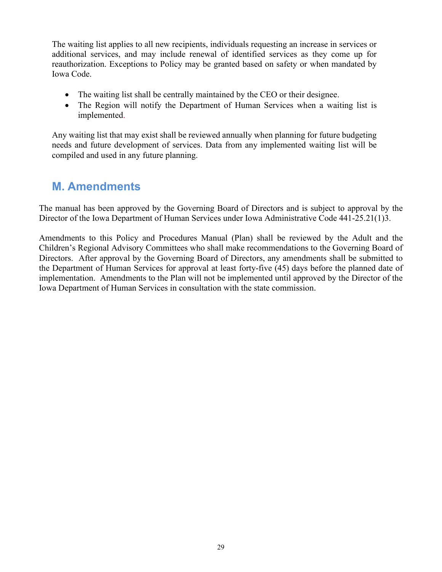The waiting list applies to all new recipients, individuals requesting an increase in services or additional services, and may include renewal of identified services as they come up for reauthorization. Exceptions to Policy may be granted based on safety or when mandated by Iowa Code.

- The waiting list shall be centrally maintained by the CEO or their designee.
- The Region will notify the Department of Human Services when a waiting list is implemented.

Any waiting list that may exist shall be reviewed annually when planning for future budgeting needs and future development of services. Data from any implemented waiting list will be compiled and used in any future planning.

# **M. Amendments**

The manual has been approved by the Governing Board of Directors and is subject to approval by the Director of the Iowa Department of Human Services under Iowa Administrative Code 441-25.21(1)3.

Amendments to this Policy and Procedures Manual (Plan) shall be reviewed by the Adult and the Children's Regional Advisory Committees who shall make recommendations to the Governing Board of Directors. After approval by the Governing Board of Directors, any amendments shall be submitted to the Department of Human Services for approval at least forty-five (45) days before the planned date of implementation. Amendments to the Plan will not be implemented until approved by the Director of the Iowa Department of Human Services in consultation with the state commission.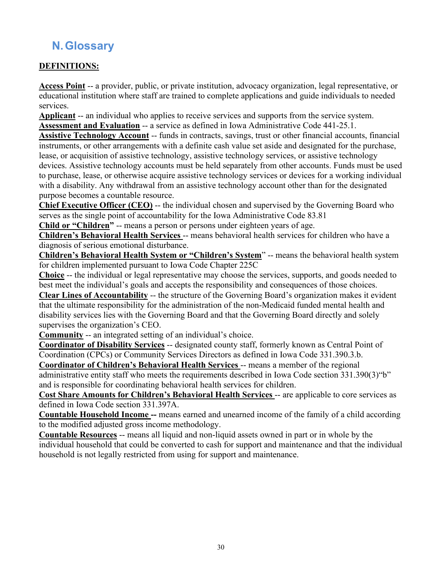# **N.Glossary**

## **DEFINITIONS:**

**Access Point** -- a provider, public, or private institution, advocacy organization, legal representative, or educational institution where staff are trained to complete applications and guide individuals to needed services.

**Applicant** -- an individual who applies to receive services and supports from the service system. **Assessment and Evaluation** -- a service as defined in Iowa Administrative Code 441-25.1.

**Assistive Technology Account** -- funds in contracts, savings, trust or other financial accounts, financial instruments, or other arrangements with a definite cash value set aside and designated for the purchase, lease, or acquisition of assistive technology, assistive technology services, or assistive technology devices. Assistive technology accounts must be held separately from other accounts. Funds must be used to purchase, lease, or otherwise acquire assistive technology services or devices for a working individual with a disability. Any withdrawal from an assistive technology account other than for the designated purpose becomes a countable resource.

**Chief Executive Officer (CEO)** -- the individual chosen and supervised by the Governing Board who serves as the single point of accountability for the Iowa Administrative Code 83.81

**Child or "Children"** -- means a person or persons under eighteen years of age.

**Children's Behavioral Health Services** -- means behavioral health services for children who have a diagnosis of serious emotional disturbance.

**Children's Behavioral Health System or "Children's System**" -- means the behavioral health system for children implemented pursuant to Iowa Code Chapter 225C

**Choice** -- the individual or legal representative may choose the services, supports, and goods needed to best meet the individual's goals and accepts the responsibility and consequences of those choices.

**Clear Lines of Accountability** -- the structure of the Governing Board's organization makes it evident that the ultimate responsibility for the administration of the non-Medicaid funded mental health and disability services lies with the Governing Board and that the Governing Board directly and solely supervises the organization's CEO.

**Community** -- an integrated setting of an individual's choice.

**Coordinator of Disability Services** -- designated county staff, formerly known as Central Point of Coordination (CPCs) or Community Services Directors as defined in Iowa Code 331.390.3.b.

**Coordinator of Children's Behavioral Health Services** -- means a member of the regional administrative entity staff who meets the requirements described in Iowa Code section 331.390(3)"b" and is responsible for coordinating behavioral health services for children.

**Cost Share Amounts for Children's Behavioral Health Services** -- are applicable to core services as defined in Iowa Code section 331.397A.

**Countable Household Income --** means earned and unearned income of the family of a child according to the modified adjusted gross income methodology.

**Countable Resources** -- means all liquid and non-liquid assets owned in part or in whole by the individual household that could be converted to cash for support and maintenance and that the individual household is not legally restricted from using for support and maintenance.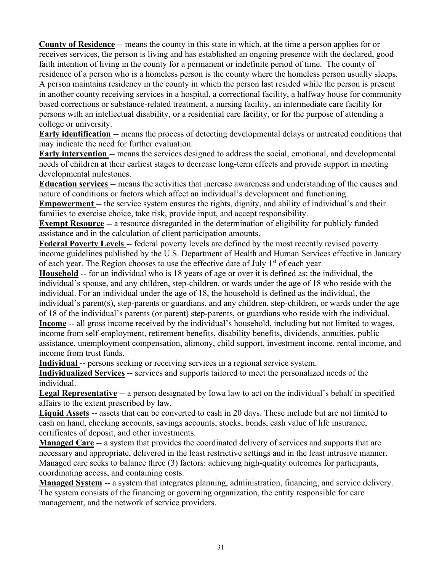**County of Residence** -- means the county in this state in which, at the time a person applies for or receives services, the person is living and has established an ongoing presence with the declared, good faith intention of living in the county for a permanent or indefinite period of time. The county of residence of a person who is a homeless person is the county where the homeless person usually sleeps. A person maintains residency in the county in which the person last resided while the person is present in another county receiving services in a hospital, a correctional facility, a halfway house for community based corrections or substance-related treatment, a nursing facility, an intermediate care facility for persons with an intellectual disability, or a residential care facility, or for the purpose of attending a college or university.

**Early identification** -- means the process of detecting developmental delays or untreated conditions that may indicate the need for further evaluation.

**Early intervention** -- means the services designed to address the social, emotional, and developmental needs of children at their earliest stages to decrease long-term effects and provide support in meeting developmental milestones.

**Education services** -- means the activities that increase awareness and understanding of the causes and nature of conditions or factors which affect an individual's development and functioning.

**Empowerment** -- the service system ensures the rights, dignity, and ability of individual's and their families to exercise choice, take risk, provide input, and accept responsibility.

**Exempt Resource** -- a resource disregarded in the determination of eligibility for publicly funded assistance and in the calculation of client participation amounts.

**Federal Poverty Levels** -- federal poverty levels are defined by the most recently revised poverty income guidelines published by the U.S. Department of Health and Human Services effective in January of each year. The Region chooses to use the effective date of July 1<sup>st</sup> of each year.

**Household** -- for an individual who is 18 years of age or over it is defined as; the individual, the individual's spouse, and any children, step-children, or wards under the age of 18 who reside with the individual. For an individual under the age of 18, the household is defined as the individual, the individual's parent(s), step-parents or guardians, and any children, step-children, or wards under the age of 18 of the individual's parents (or parent) step-parents, or guardians who reside with the individual. **Income** -- all gross income received by the individual's household, including but not limited to wages, income from self-employment, retirement benefits, disability benefits, dividends, annuities, public assistance, unemployment compensation, alimony, child support, investment income, rental income, and income from trust funds.

**Individual** -- persons seeking or receiving services in a regional service system.

**Individualized Services** -- services and supports tailored to meet the personalized needs of the individual.

**Legal Representative** -- a person designated by Iowa law to act on the individual's behalf in specified affairs to the extent prescribed by law.

**Liquid Assets** -- assets that can be converted to cash in 20 days. These include but are not limited to cash on hand, checking accounts, savings accounts, stocks, bonds, cash value of life insurance, certificates of deposit, and other investments.

**Managed Care** -- a system that provides the coordinated delivery of services and supports that are necessary and appropriate, delivered in the least restrictive settings and in the least intrusive manner. Managed care seeks to balance three (3) factors: achieving high-quality outcomes for participants, coordinating access, and containing costs.

**Managed System** -- a system that integrates planning, administration, financing, and service delivery. The system consists of the financing or governing organization, the entity responsible for care management, and the network of service providers.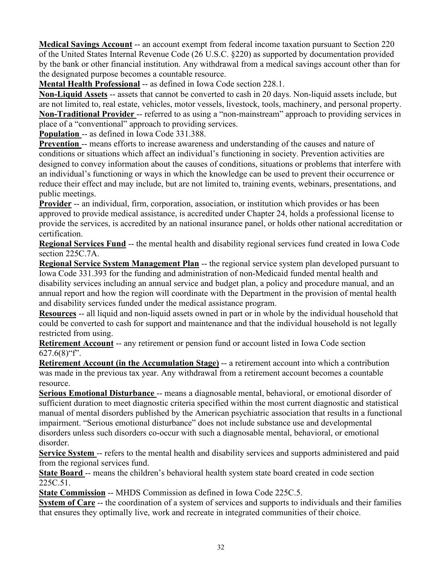**Medical Savings Account** -- an account exempt from federal income taxation pursuant to Section 220 of the United States Internal Revenue Code (26 U.S.C. §220) as supported by documentation provided by the bank or other financial institution. Any withdrawal from a medical savings account other than for the designated purpose becomes a countable resource.

**Mental Health Professional** -- as defined in Iowa Code section 228.1.

**Non-Liquid Assets** -- assets that cannot be converted to cash in 20 days. Non-liquid assets include, but are not limited to, real estate, vehicles, motor vessels, livestock, tools, machinery, and personal property. **Non-Traditional Provider** -- referred to as using a "non-mainstream" approach to providing services in place of a "conventional" approach to providing services.

**Population** -- as defined in Iowa Code 331.388.

**Prevention** -- means efforts to increase awareness and understanding of the causes and nature of conditions or situations which affect an individual's functioning in society. Prevention activities are designed to convey information about the causes of conditions, situations or problems that interfere with an individual's functioning or ways in which the knowledge can be used to prevent their occurrence or reduce their effect and may include, but are not limited to, training events, webinars, presentations, and public meetings.

**Provider** -- an individual, firm, corporation, association, or institution which provides or has been approved to provide medical assistance, is accredited under Chapter 24, holds a professional license to provide the services, is accredited by an national insurance panel, or holds other national accreditation or certification.

**Regional Services Fund** -- the mental health and disability regional services fund created in Iowa Code section 225C.7A.

**Regional Service System Management Plan** -- the regional service system plan developed pursuant to Iowa Code 331.393 for the funding and administration of non-Medicaid funded mental health and disability services including an annual service and budget plan, a policy and procedure manual, and an annual report and how the region will coordinate with the Department in the provision of mental health and disability services funded under the medical assistance program.

**Resources** -- all liquid and non-liquid assets owned in part or in whole by the individual household that could be converted to cash for support and maintenance and that the individual household is not legally restricted from using.

**Retirement Account** -- any retirement or pension fund or account listed in Iowa Code section  $627.6(8)$ "f".

**Retirement Account (in the Accumulation Stage)** -- a retirement account into which a contribution was made in the previous tax year. Any withdrawal from a retirement account becomes a countable resource.

**Serious Emotional Disturbance** -- means a diagnosable mental, behavioral, or emotional disorder of sufficient duration to meet diagnostic criteria specified within the most current diagnostic and statistical manual of mental disorders published by the American psychiatric association that results in a functional impairment. "Serious emotional disturbance" does not include substance use and developmental disorders unless such disorders co-occur with such a diagnosable mental, behavioral, or emotional disorder.

**Service System** -- refers to the mental health and disability services and supports administered and paid from the regional services fund.

**State Board** -- means the children's behavioral health system state board created in code section 225C.51.

**State Commission** -- MHDS Commission as defined in Iowa Code 225C.5.

**System of Care** -- the coordination of a system of services and supports to individuals and their families that ensures they optimally live, work and recreate in integrated communities of their choice.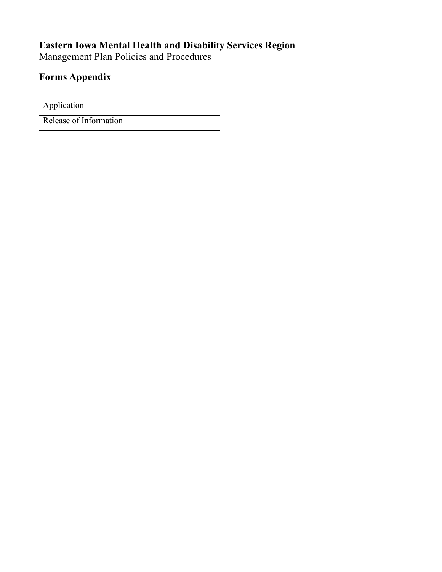# **Eastern Iowa Mental Health and Disability Services Region**

Management Plan Policies and Procedures

## **Forms Appendix**

Application Release of Information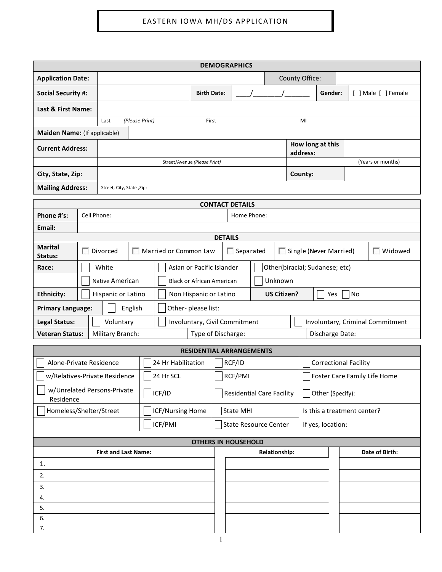| <b>DEMOGRAPHICS</b>          |  |                               |  |                                            |                                 |                                             |                        |               |                                |                              |                              |         |  |                |                                  |
|------------------------------|--|-------------------------------|--|--------------------------------------------|---------------------------------|---------------------------------------------|------------------------|---------------|--------------------------------|------------------------------|------------------------------|---------|--|----------------|----------------------------------|
| <b>Application Date:</b>     |  |                               |  |                                            |                                 |                                             |                        |               |                                |                              | County Office:               |         |  |                |                                  |
| <b>Social Security #:</b>    |  |                               |  |                                            | <b>Birth Date:</b>              |                                             |                        |               |                                |                              |                              | Gender: |  |                | [ ] Male [ ] Female              |
| Last & First Name:           |  |                               |  |                                            |                                 |                                             |                        |               |                                |                              |                              |         |  |                |                                  |
|                              |  | (Please Print)<br>Last        |  |                                            | First                           |                                             |                        |               |                                |                              | MI                           |         |  |                |                                  |
| Maiden Name: (If applicable) |  |                               |  |                                            |                                 |                                             |                        |               |                                |                              |                              |         |  |                |                                  |
| <b>Current Address:</b>      |  |                               |  |                                            |                                 |                                             |                        |               |                                |                              | How long at this<br>address: |         |  |                |                                  |
|                              |  |                               |  | Street/Avenue (Please Print)               |                                 |                                             |                        |               |                                |                              |                              |         |  |                | (Years or months)                |
| City, State, Zip:            |  |                               |  |                                            |                                 |                                             |                        |               |                                | County:                      |                              |         |  |                |                                  |
| <b>Mailing Address:</b>      |  | Street, City, State, Zip:     |  |                                            |                                 |                                             |                        |               |                                |                              |                              |         |  |                |                                  |
|                              |  |                               |  |                                            |                                 |                                             | <b>CONTACT DETAILS</b> |               |                                |                              |                              |         |  |                |                                  |
| Phone #'s:                   |  | Cell Phone:                   |  |                                            |                                 |                                             | Home Phone:            |               |                                |                              |                              |         |  |                |                                  |
| Email:                       |  |                               |  |                                            |                                 |                                             |                        |               |                                |                              |                              |         |  |                |                                  |
| <b>Marital</b>               |  |                               |  |                                            |                                 | <b>DETAILS</b>                              |                        |               |                                |                              |                              |         |  |                |                                  |
| Status:                      |  | Divorced                      |  | Married or Common Law                      |                                 |                                             | Separated              |               |                                |                              | Single (Never Married)       |         |  |                | Widowed                          |
| Race:                        |  | White                         |  | Asian or Pacific Islander                  |                                 |                                             |                        |               | Other(biracial; Sudanese; etc) |                              |                              |         |  |                |                                  |
|                              |  | Native American               |  |                                            |                                 | Unknown<br><b>Black or African American</b> |                        |               |                                |                              |                              |         |  |                |                                  |
| <b>Ethnicity:</b>            |  | Hispanic or Latino            |  | Non Hispanic or Latino                     |                                 | US Citizen?<br><b>No</b><br>Yes             |                        |               |                                |                              |                              |         |  |                |                                  |
| <b>Primary Language:</b>     |  | English                       |  | Other-please list:                         |                                 |                                             |                        |               |                                |                              |                              |         |  |                |                                  |
| <b>Legal Status:</b>         |  | Voluntary                     |  | Involuntary, Civil Commitment              |                                 |                                             |                        |               |                                |                              |                              |         |  |                | Involuntary, Criminal Commitment |
| <b>Veteran Status:</b>       |  | Military Branch:              |  | Type of Discharge:<br>Discharge Date:      |                                 |                                             |                        |               |                                |                              |                              |         |  |                |                                  |
|                              |  |                               |  |                                            | <b>RESIDENTIAL ARRANGEMENTS</b> |                                             |                        |               |                                |                              |                              |         |  |                |                                  |
| Alone-Private Residence      |  |                               |  | 24 Hr Habilitation                         |                                 | RCF/ID<br><b>Correctional Facility</b>      |                        |               |                                |                              |                              |         |  |                |                                  |
|                              |  | w/Relatives-Private Residence |  | 24 Hr SCL                                  |                                 |                                             | RCF/PMI                |               |                                | Foster Care Family Life Home |                              |         |  |                |                                  |
| Residence                    |  | w/Unrelated Persons-Private   |  | ICF/ID<br><b>Residential Care Facility</b> |                                 |                                             |                        |               | Other (Specify):               |                              |                              |         |  |                |                                  |
| Homeless/Shelter/Street      |  |                               |  | ICF/Nursing Home                           | <b>State MHI</b>                |                                             |                        |               | Is this a treatment center?    |                              |                              |         |  |                |                                  |
|                              |  |                               |  | ICF/PMI                                    |                                 |                                             |                        |               | <b>State Resource Center</b>   |                              | If yes, location:            |         |  |                |                                  |
|                              |  |                               |  |                                            | <b>OTHERS IN HOUSEHOLD</b>      |                                             |                        |               |                                |                              |                              |         |  |                |                                  |
| <b>First and Last Name:</b>  |  |                               |  |                                            |                                 |                                             |                        | Relationship: |                                |                              |                              |         |  | Date of Birth: |                                  |
| 1.                           |  |                               |  |                                            |                                 |                                             |                        |               |                                |                              |                              |         |  |                |                                  |
| 2.                           |  |                               |  |                                            |                                 |                                             |                        |               |                                |                              |                              |         |  |                |                                  |
| 3.                           |  |                               |  |                                            |                                 |                                             |                        |               |                                |                              |                              |         |  |                |                                  |
| 4.<br>5.                     |  |                               |  |                                            |                                 |                                             |                        |               |                                |                              |                              |         |  |                |                                  |
| 6.                           |  |                               |  |                                            |                                 |                                             |                        |               |                                |                              |                              |         |  |                |                                  |
| 7.                           |  |                               |  |                                            |                                 |                                             |                        |               |                                |                              |                              |         |  |                |                                  |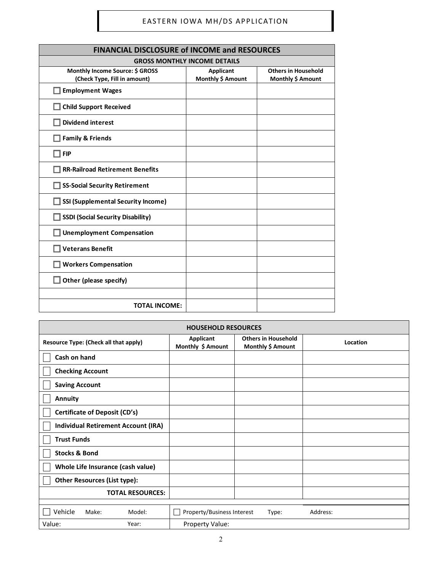| <b>FINANCIAL DISCLOSURE of INCOME and RESOURCES</b>             |                                       |                                                 |  |  |  |  |  |
|-----------------------------------------------------------------|---------------------------------------|-------------------------------------------------|--|--|--|--|--|
| <b>GROSS MONTHLY INCOME DETAILS</b>                             |                                       |                                                 |  |  |  |  |  |
| Monthly Income Source: \$ GROSS<br>(Check Type, Fill in amount) | <b>Applicant</b><br>Monthly \$ Amount | <b>Others in Household</b><br>Monthly \$ Amount |  |  |  |  |  |
| Employment Wages                                                |                                       |                                                 |  |  |  |  |  |
| <b>Child Support Received</b>                                   |                                       |                                                 |  |  |  |  |  |
| <b>Dividend interest</b>                                        |                                       |                                                 |  |  |  |  |  |
| <b>Family &amp; Friends</b>                                     |                                       |                                                 |  |  |  |  |  |
| $\Box$ FIP                                                      |                                       |                                                 |  |  |  |  |  |
| <b>RR-Railroad Retirement Benefits</b>                          |                                       |                                                 |  |  |  |  |  |
| SS-Social Security Retirement                                   |                                       |                                                 |  |  |  |  |  |
| SSI (Supplemental Security Income)                              |                                       |                                                 |  |  |  |  |  |
| <b>SSDI (Social Security Disability)</b>                        |                                       |                                                 |  |  |  |  |  |
| <b>Unemployment Compensation</b>                                |                                       |                                                 |  |  |  |  |  |
| <b>Veterans Benefit</b>                                         |                                       |                                                 |  |  |  |  |  |
| <b>Workers Compensation</b>                                     |                                       |                                                 |  |  |  |  |  |
| $\Box$ Other (please specify)                                   |                                       |                                                 |  |  |  |  |  |
|                                                                 |                                       |                                                 |  |  |  |  |  |
| <b>TOTAL INCOME:</b>                                            |                                       |                                                 |  |  |  |  |  |

| <b>HOUSEHOLD RESOURCES</b>                 |                                |                                                 |          |  |  |  |  |  |
|--------------------------------------------|--------------------------------|-------------------------------------------------|----------|--|--|--|--|--|
| Resource Type: (Check all that apply)      | Applicant<br>Monthly \$ Amount | <b>Others in Household</b><br>Monthly \$ Amount | Location |  |  |  |  |  |
| Cash on hand                               |                                |                                                 |          |  |  |  |  |  |
| <b>Checking Account</b>                    |                                |                                                 |          |  |  |  |  |  |
| <b>Saving Account</b>                      |                                |                                                 |          |  |  |  |  |  |
| <b>Annuity</b>                             |                                |                                                 |          |  |  |  |  |  |
| <b>Certificate of Deposit (CD's)</b>       |                                |                                                 |          |  |  |  |  |  |
| <b>Individual Retirement Account (IRA)</b> |                                |                                                 |          |  |  |  |  |  |
| <b>Trust Funds</b>                         |                                |                                                 |          |  |  |  |  |  |
| <b>Stocks &amp; Bond</b>                   |                                |                                                 |          |  |  |  |  |  |
| Whole Life Insurance (cash value)          |                                |                                                 |          |  |  |  |  |  |
| <b>Other Resources (List type):</b>        |                                |                                                 |          |  |  |  |  |  |
| <b>TOTAL RESOURCES:</b>                    |                                |                                                 |          |  |  |  |  |  |
| Vehicle<br>Make:<br>Model:                 | Property/Business Interest     | Type:                                           | Address: |  |  |  |  |  |
| Value:<br>Year:                            | Property Value:                |                                                 |          |  |  |  |  |  |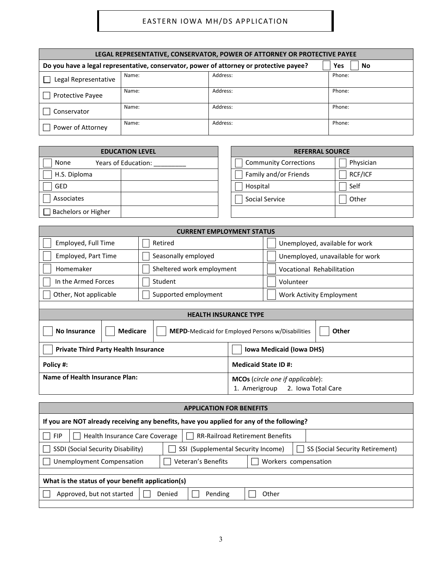| LEGAL REPRESENTATIVE, CONSERVATOR, POWER OF ATTORNEY OR PROTECTIVE PAYEE                             |       |          |        |  |  |  |  |  |  |
|------------------------------------------------------------------------------------------------------|-------|----------|--------|--|--|--|--|--|--|
| Do you have a legal representative, conservator, power of attorney or protective payee?<br>Yes<br>No |       |          |        |  |  |  |  |  |  |
| Legal Representative                                                                                 | Name: | Address: | Phone: |  |  |  |  |  |  |
| <b>Protective Payee</b>                                                                              | Name: | Address: | Phone: |  |  |  |  |  |  |
| Conservator                                                                                          | Name: | Address: | Phone: |  |  |  |  |  |  |
| Power of Attorney                                                                                    | Name: | Address: | Phone: |  |  |  |  |  |  |

| <b>EDUCATION LEVEL</b>      | <b>REFERRAL SOURCE</b>       |           |  |
|-----------------------------|------------------------------|-----------|--|
| Years of Education:<br>None | <b>Community Corrections</b> | Physician |  |
| H.S. Diploma                | Family and/or Friends        | RCF/ICF   |  |
| <b>GED</b>                  | Hospital                     | Self      |  |
| Associates                  | Social Service               | Other     |  |
| <b>Bachelors or Higher</b>  |                              |           |  |

| <b>CURRENT EMPLOYMENT STATUS</b>                                                                                   |                                 |                                  |  |  |  |
|--------------------------------------------------------------------------------------------------------------------|---------------------------------|----------------------------------|--|--|--|
| Employed, Full Time                                                                                                | Retired                         | Unemployed, available for work   |  |  |  |
| Employed, Part Time                                                                                                | Seasonally employed             | Unemployed, unavailable for work |  |  |  |
| Homemaker                                                                                                          | Sheltered work employment       | Vocational Rehabilitation        |  |  |  |
| In the Armed Forces                                                                                                | Student                         | Volunteer                        |  |  |  |
| Other, Not applicable                                                                                              | Supported employment            | Work Activity Employment         |  |  |  |
|                                                                                                                    |                                 |                                  |  |  |  |
|                                                                                                                    | <b>HEALTH INSURANCE TYPE</b>    |                                  |  |  |  |
| <b>Other</b><br><b>No Insurance</b><br><b>Medicare</b><br><b>MEPD-Medicaid for Employed Persons w/Disabilities</b> |                                 |                                  |  |  |  |
| <b>Private Third Party Health Insurance</b>                                                                        | <b>Iowa Medicaid (Iowa DHS)</b> |                                  |  |  |  |
| <b>Medicaid State ID#:</b><br>Policy #:                                                                            |                                 |                                  |  |  |  |
| Name of Health Insurance Plan:<br><b>MCOs</b> (circle one if applicable):<br>2. Iowa Total Care<br>1. Amerigroup   |                                 |                                  |  |  |  |

| <b>APPLICATION FOR BENEFITS</b>                                                                            |  |  |  |  |  |  |  |
|------------------------------------------------------------------------------------------------------------|--|--|--|--|--|--|--|
| If you are NOT already receiving any benefits, have you applied for any of the following?                  |  |  |  |  |  |  |  |
| <b>FIP</b><br>Health Insurance Care Coverage<br>RR-Railroad Retirement Benefits                            |  |  |  |  |  |  |  |
| SSDI (Social Security Disability)<br>SSI (Supplemental Security Income)<br>SS (Social Security Retirement) |  |  |  |  |  |  |  |
| Veteran's Benefits<br><b>Unemployment Compensation</b><br>Workers compensation                             |  |  |  |  |  |  |  |
|                                                                                                            |  |  |  |  |  |  |  |
| What is the status of your benefit application(s)                                                          |  |  |  |  |  |  |  |
| Approved, but not started<br>Denied<br>Pending<br>Other                                                    |  |  |  |  |  |  |  |
|                                                                                                            |  |  |  |  |  |  |  |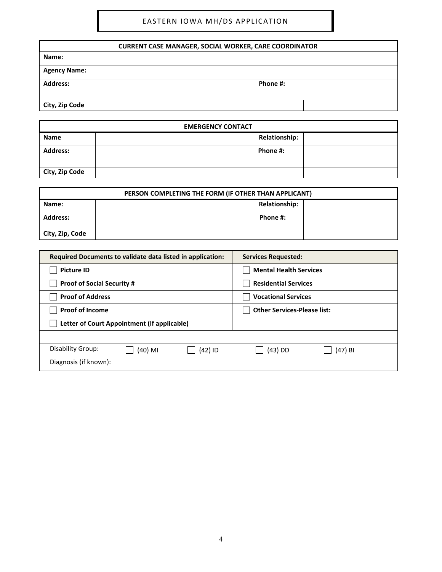| <b>CURRENT CASE MANAGER, SOCIAL WORKER, CARE COORDINATOR</b> |  |          |  |  |  |  |
|--------------------------------------------------------------|--|----------|--|--|--|--|
| Name:                                                        |  |          |  |  |  |  |
| <b>Agency Name:</b>                                          |  |          |  |  |  |  |
| <b>Address:</b>                                              |  | Phone #: |  |  |  |  |
| City, Zip Code                                               |  |          |  |  |  |  |

| <b>EMERGENCY CONTACT</b> |  |                      |  |  |
|--------------------------|--|----------------------|--|--|
| Name                     |  | <b>Relationship:</b> |  |  |
| <b>Address:</b>          |  | Phone #:             |  |  |
| City, Zip Code           |  |                      |  |  |

| PERSON COMPLETING THE FORM (IF OTHER THAN APPLICANT) |  |          |  |  |  |  |  |  |
|------------------------------------------------------|--|----------|--|--|--|--|--|--|
| <b>Relationship:</b><br>Name:                        |  |          |  |  |  |  |  |  |
| <b>Address:</b>                                      |  | Phone #: |  |  |  |  |  |  |
| City, Zip, Code                                      |  |          |  |  |  |  |  |  |

| Required Documents to validate data listed in application: | <b>Services Requested:</b>         |
|------------------------------------------------------------|------------------------------------|
| <b>Picture ID</b>                                          | <b>Mental Health Services</b>      |
| <b>Proof of Social Security #</b>                          | <b>Residential Services</b>        |
| <b>Proof of Address</b>                                    | <b>Vocational Services</b>         |
| <b>Proof of Income</b>                                     | <b>Other Services-Please list:</b> |
| Letter of Court Appointment (If applicable)                |                                    |
|                                                            |                                    |
| Disability Group:<br>(42) ID<br>(40) MI                    | $(43)$ DD<br>$(47)$ BI             |
| Diagnosis (if known):                                      |                                    |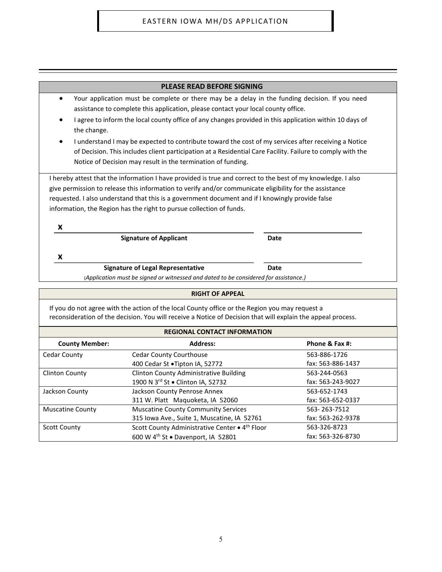| <b>PLEASE READ BEFORE SIGNING</b>                                                                                                                                                                                                                                                                                                                                                                   |      |  |  |  |
|-----------------------------------------------------------------------------------------------------------------------------------------------------------------------------------------------------------------------------------------------------------------------------------------------------------------------------------------------------------------------------------------------------|------|--|--|--|
| Your application must be complete or there may be a delay in the funding decision. If you need<br>٠<br>assistance to complete this application, please contact your local county office.                                                                                                                                                                                                            |      |  |  |  |
| I agree to inform the local county office of any changes provided in this application within 10 days of<br>the change.                                                                                                                                                                                                                                                                              |      |  |  |  |
| I understand I may be expected to contribute toward the cost of my services after receiving a Notice<br>of Decision. This includes client participation at a Residential Care Facility. Failure to comply with the<br>Notice of Decision may result in the termination of funding.                                                                                                                  |      |  |  |  |
| I hereby attest that the information I have provided is true and correct to the best of my knowledge. I also<br>give permission to release this information to verify and/or communicate eligibility for the assistance<br>requested. I also understand that this is a government document and if I knowingly provide false<br>information, the Region has the right to pursue collection of funds. |      |  |  |  |
| x                                                                                                                                                                                                                                                                                                                                                                                                   |      |  |  |  |
| <b>Signature of Applicant</b>                                                                                                                                                                                                                                                                                                                                                                       | Date |  |  |  |
| x                                                                                                                                                                                                                                                                                                                                                                                                   |      |  |  |  |
| <b>Signature of Legal Representative</b>                                                                                                                                                                                                                                                                                                                                                            | Date |  |  |  |

(*Application must be signed or witnessed and dated to be considered for assistance.)*

#### **RIGHT OF APPEAL**

If you do not agree with the action of the local County office or the Region you may request a reconsideration of the decision. You will receive a Notice of Decision that will explain the appeal process.

| <b>REGIONAL CONTACT INFORMATION</b>                              |                                                |                   |  |  |  |
|------------------------------------------------------------------|------------------------------------------------|-------------------|--|--|--|
| <b>Address:</b><br><b>County Member:</b><br>Phone & Fax #:       |                                                |                   |  |  |  |
| Cedar County                                                     | <b>Cedar County Courthouse</b>                 | 563-886-1726      |  |  |  |
|                                                                  | 400 Cedar St .Tipton IA, 52772                 | fax: 563-886-1437 |  |  |  |
| <b>Clinton County</b>                                            | <b>Clinton County Administrative Building</b>  | 563-244-0563      |  |  |  |
|                                                                  | 1900 N 3rd St . Clinton IA, 52732              | fax: 563-243-9027 |  |  |  |
| Jackson County                                                   | Jackson County Penrose Annex                   | 563-652-1743      |  |  |  |
| 311 W. Platt Maquoketa, IA 52060<br>fax: 563-652-0337            |                                                |                   |  |  |  |
| <b>Muscatine County</b>                                          | <b>Muscatine County Community Services</b>     | 563-263-7512      |  |  |  |
| 315 Iowa Ave., Suite 1, Muscatine, IA 52761<br>fax: 563-262-9378 |                                                |                   |  |  |  |
| <b>Scott County</b>                                              | Scott County Administrative Center . 4th Floor | 563-326-8723      |  |  |  |
|                                                                  | 600 W 4 <sup>th</sup> St . Davenport, IA 52801 | fax: 563-326-8730 |  |  |  |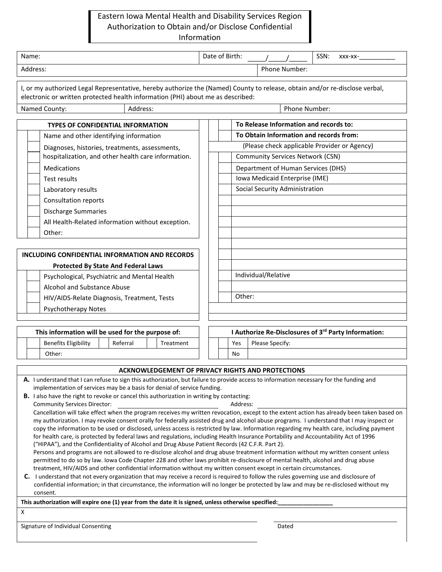## Eastern Iowa Mental Health and Disability Services Region Authorization to Obtain and/or Disclose Confidential Information

| Name:                                                                                                                                                                                                                                                                             |           |        | Date of Birth:                                                                |  |                     |                                         | SSN: | $XXX-XX-$                                            |
|-----------------------------------------------------------------------------------------------------------------------------------------------------------------------------------------------------------------------------------------------------------------------------------|-----------|--------|-------------------------------------------------------------------------------|--|---------------------|-----------------------------------------|------|------------------------------------------------------|
| Address:                                                                                                                                                                                                                                                                          |           |        |                                                                               |  |                     | Phone Number:                           |      |                                                      |
| I, or my authorized Legal Representative, hereby authorize the (Named) County to release, obtain and/or re-disclose verbal,<br>electronic or written protected health information (PHI) about me as described:<br>Named County:<br>Address:                                       |           |        |                                                                               |  |                     | Phone Number:                           |      |                                                      |
|                                                                                                                                                                                                                                                                                   |           |        |                                                                               |  |                     |                                         |      |                                                      |
| <b>TYPES OF CONFIDENTIAL INFORMATION</b>                                                                                                                                                                                                                                          |           |        |                                                                               |  |                     | To Release Information and records to:  |      |                                                      |
| Name and other identifying information                                                                                                                                                                                                                                            |           |        |                                                                               |  |                     | To Obtain Information and records from: |      |                                                      |
| Diagnoses, histories, treatments, assessments,<br>hospitalization, and other health care information.                                                                                                                                                                             |           |        | (Please check applicable Provider or Agency)                                  |  |                     |                                         |      |                                                      |
| Medications                                                                                                                                                                                                                                                                       |           |        | <b>Community Services Network (CSN)</b><br>Department of Human Services (DHS) |  |                     |                                         |      |                                                      |
| Test results                                                                                                                                                                                                                                                                      |           |        |                                                                               |  |                     | Iowa Medicaid Enterprise (IME)          |      |                                                      |
|                                                                                                                                                                                                                                                                                   |           |        |                                                                               |  |                     | Social Security Administration          |      |                                                      |
| Laboratory results                                                                                                                                                                                                                                                                |           |        |                                                                               |  |                     |                                         |      |                                                      |
| <b>Consultation reports</b>                                                                                                                                                                                                                                                       |           |        |                                                                               |  |                     |                                         |      |                                                      |
| <b>Discharge Summaries</b>                                                                                                                                                                                                                                                        |           |        |                                                                               |  |                     |                                         |      |                                                      |
| All Health-Related information without exception.                                                                                                                                                                                                                                 |           |        |                                                                               |  |                     |                                         |      |                                                      |
| Other:                                                                                                                                                                                                                                                                            |           |        |                                                                               |  |                     |                                         |      |                                                      |
|                                                                                                                                                                                                                                                                                   |           |        |                                                                               |  |                     |                                         |      |                                                      |
| INCLUDING CONFIDENTIAL INFORMATION AND RECORDS                                                                                                                                                                                                                                    |           |        |                                                                               |  |                     |                                         |      |                                                      |
| <b>Protected By State And Federal Laws</b>                                                                                                                                                                                                                                        |           |        |                                                                               |  | Individual/Relative |                                         |      |                                                      |
| Psychological, Psychiatric and Mental Health                                                                                                                                                                                                                                      |           |        |                                                                               |  |                     |                                         |      |                                                      |
| Alcohol and Substance Abuse                                                                                                                                                                                                                                                       |           |        |                                                                               |  |                     |                                         |      |                                                      |
| HIV/AIDS-Relate Diagnosis, Treatment, Tests                                                                                                                                                                                                                                       |           | Other: |                                                                               |  |                     |                                         |      |                                                      |
| <b>Psychotherapy Notes</b>                                                                                                                                                                                                                                                        |           |        |                                                                               |  |                     |                                         |      |                                                      |
| This information will be used for the purpose of:                                                                                                                                                                                                                                 |           |        |                                                                               |  |                     |                                         |      | I Authorize Re-Disclosures of 3rd Party Information: |
| <b>Benefits Eligibility</b><br>Referral                                                                                                                                                                                                                                           | Treatment |        | Yes                                                                           |  | Please Specify:     |                                         |      |                                                      |
| Other:                                                                                                                                                                                                                                                                            |           |        | No                                                                            |  |                     |                                         |      |                                                      |
|                                                                                                                                                                                                                                                                                   |           |        |                                                                               |  |                     |                                         |      |                                                      |
| <b>ACKNOWLEDGEMENT OF PRIVACY RIGHTS AND PROTECTIONS</b>                                                                                                                                                                                                                          |           |        |                                                                               |  |                     |                                         |      |                                                      |
| A. I understand that I can refuse to sign this authorization, but failure to provide access to information necessary for the funding and                                                                                                                                          |           |        |                                                                               |  |                     |                                         |      |                                                      |
| implementation of services may be a basis for denial of service funding.<br><b>B.</b> I also have the right to revoke or cancel this authorization in writing by contacting:                                                                                                      |           |        |                                                                               |  |                     |                                         |      |                                                      |
| <b>Community Services Director:</b>                                                                                                                                                                                                                                               |           |        | Address:                                                                      |  |                     |                                         |      |                                                      |
| Cancellation will take effect when the program receives my written revocation, except to the extent action has already been taken based on                                                                                                                                        |           |        |                                                                               |  |                     |                                         |      |                                                      |
| my authorization. I may revoke consent orally for federally assisted drug and alcohol abuse programs. I understand that I may inspect or                                                                                                                                          |           |        |                                                                               |  |                     |                                         |      |                                                      |
| copy the information to be used or disclosed, unless access is restricted by law. Information regarding my health care, including payment<br>for health care, is protected by federal laws and regulations, including Health Insurance Portability and Accountability Act of 1996 |           |        |                                                                               |  |                     |                                         |      |                                                      |
| ("HIPAA"), and the Confidentiality of Alcohol and Drug Abuse Patient Records (42 C.F.R. Part 2).                                                                                                                                                                                  |           |        |                                                                               |  |                     |                                         |      |                                                      |
| Persons and programs are not allowed to re-disclose alcohol and drug abuse treatment information without my written consent unless                                                                                                                                                |           |        |                                                                               |  |                     |                                         |      |                                                      |
| permitted to do so by law. Iowa Code Chapter 228 and other laws prohibit re-disclosure of mental health, alcohol and drug abuse<br>treatment, HIV/AIDS and other confidential information without my written consent except in certain circumstances.                             |           |        |                                                                               |  |                     |                                         |      |                                                      |
| C. I understand that not every organization that may receive a record is required to follow the rules governing use and disclosure of                                                                                                                                             |           |        |                                                                               |  |                     |                                         |      |                                                      |
| confidential information; in that circumstance, the information will no longer be protected by law and may be re-disclosed without my                                                                                                                                             |           |        |                                                                               |  |                     |                                         |      |                                                      |
| consent.<br>This authorization will expire one (1) year from the date it is signed, unless otherwise specified:                                                                                                                                                                   |           |        |                                                                               |  |                     |                                         |      |                                                      |
| X                                                                                                                                                                                                                                                                                 |           |        |                                                                               |  |                     |                                         |      |                                                      |
|                                                                                                                                                                                                                                                                                   |           |        |                                                                               |  |                     |                                         |      |                                                      |
| Signature of Individual Consenting                                                                                                                                                                                                                                                |           |        |                                                                               |  |                     | Dated                                   |      |                                                      |